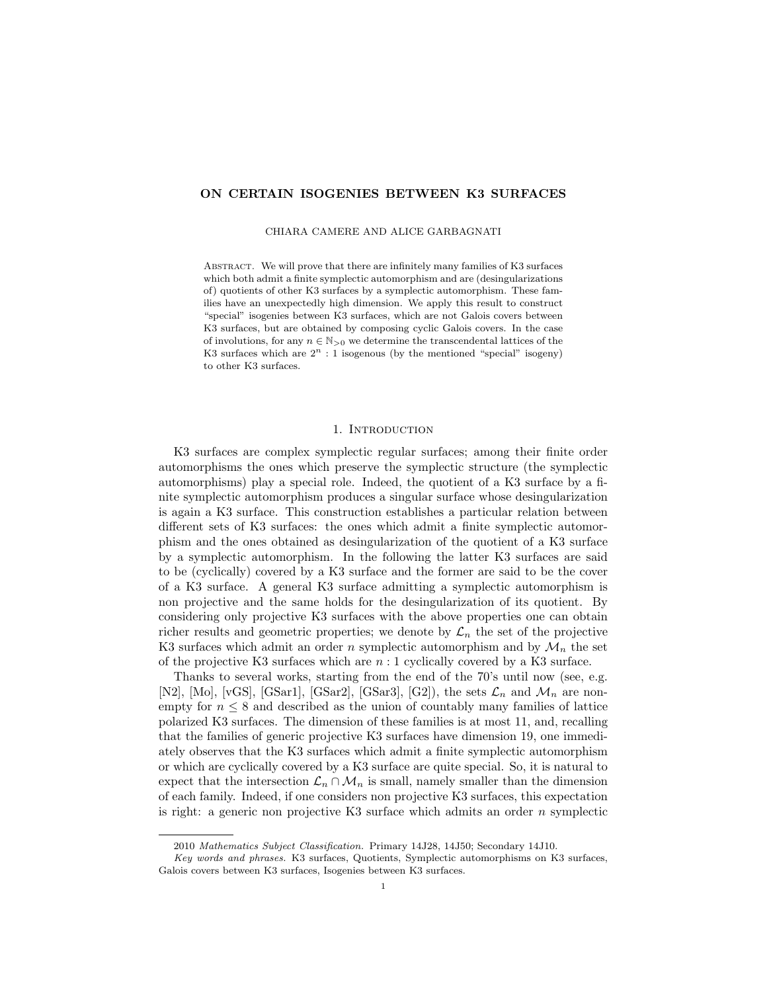## ON CERTAIN ISOGENIES BETWEEN K3 SURFACES

CHIARA CAMERE AND ALICE GARBAGNATI

Abstract. We will prove that there are infinitely many families of K3 surfaces which both admit a finite symplectic automorphism and are (desingularizations of) quotients of other K3 surfaces by a symplectic automorphism. These families have an unexpectedly high dimension. We apply this result to construct "special" isogenies between K3 surfaces, which are not Galois covers between K3 surfaces, but are obtained by composing cyclic Galois covers. In the case of involutions, for any  $n \in \mathbb{N}_{>0}$  we determine the transcendental lattices of the K3 surfaces which are  $2^n : 1$  isogenous (by the mentioned "special" isogeny) to other K3 surfaces.

#### 1. INTRODUCTION

K3 surfaces are complex symplectic regular surfaces; among their finite order automorphisms the ones which preserve the symplectic structure (the symplectic automorphisms) play a special role. Indeed, the quotient of a K3 surface by a finite symplectic automorphism produces a singular surface whose desingularization is again a K3 surface. This construction establishes a particular relation between different sets of K3 surfaces: the ones which admit a finite symplectic automorphism and the ones obtained as desingularization of the quotient of a K3 surface by a symplectic automorphism. In the following the latter K3 surfaces are said to be (cyclically) covered by a K3 surface and the former are said to be the cover of a K3 surface. A general K3 surface admitting a symplectic automorphism is non projective and the same holds for the desingularization of its quotient. By considering only projective K3 surfaces with the above properties one can obtain richer results and geometric properties; we denote by  $\mathcal{L}_n$  the set of the projective K3 surfaces which admit an order n symplectic automorphism and by  $\mathcal{M}_n$  the set of the projective K3 surfaces which are  $n:1$  cyclically covered by a K3 surface.

Thanks to several works, starting from the end of the 70's until now (see, e.g. [N2], [Mo], [vGS], [GSar1], [GSar2], [GSar3], [G2]), the sets  $\mathcal{L}_n$  and  $\mathcal{M}_n$  are nonempty for  $n \leq 8$  and described as the union of countably many families of lattice polarized K3 surfaces. The dimension of these families is at most 11, and, recalling that the families of generic projective K3 surfaces have dimension 19, one immediately observes that the K3 surfaces which admit a finite symplectic automorphism or which are cyclically covered by a K3 surface are quite special. So, it is natural to expect that the intersection  $\mathcal{L}_n \cap \mathcal{M}_n$  is small, namely smaller than the dimension of each family. Indeed, if one considers non projective K3 surfaces, this expectation is right: a generic non projective K3 surface which admits an order  $n$  symplectic

<sup>2010</sup> Mathematics Subject Classification. Primary 14J28, 14J50; Secondary 14J10.

Key words and phrases. K3 surfaces, Quotients, Symplectic automorphisms on K3 surfaces, Galois covers between K3 surfaces, Isogenies between K3 surfaces.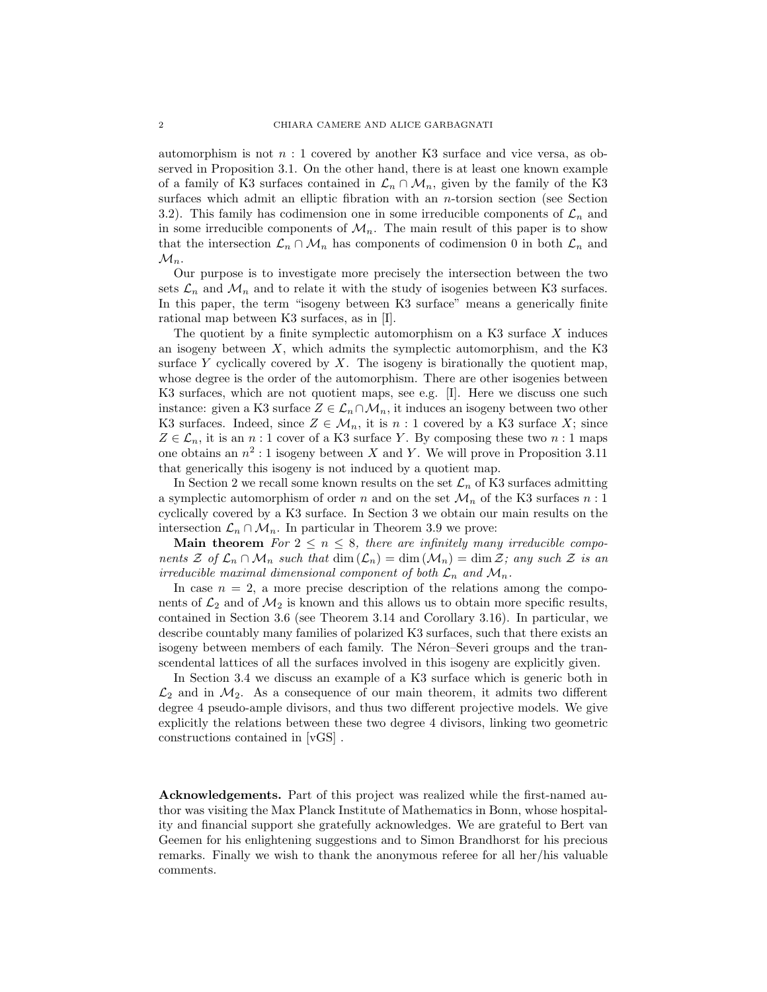automorphism is not  $n:1$  covered by another K3 surface and vice versa, as observed in Proposition 3.1. On the other hand, there is at least one known example of a family of K3 surfaces contained in  $\mathcal{L}_n \cap \mathcal{M}_n$ , given by the family of the K3 surfaces which admit an elliptic fibration with an  $n$ -torsion section (see Section 3.2). This family has codimension one in some irreducible components of  $\mathcal{L}_n$  and in some irreducible components of  $\mathcal{M}_n$ . The main result of this paper is to show that the intersection  $\mathcal{L}_n \cap \mathcal{M}_n$  has components of codimension 0 in both  $\mathcal{L}_n$  and  $\mathcal{M}_n$ .

Our purpose is to investigate more precisely the intersection between the two sets  $\mathcal{L}_n$  and  $\mathcal{M}_n$  and to relate it with the study of isogenies between K3 surfaces. In this paper, the term "isogeny between K3 surface" means a generically finite rational map between K3 surfaces, as in [I].

The quotient by a finite symplectic automorphism on a K3 surface  $X$  induces an isogeny between  $X$ , which admits the symplectic automorphism, and the K3 surface  $Y$  cyclically covered by  $X$ . The isogeny is birationally the quotient map, whose degree is the order of the automorphism. There are other isogenies between K3 surfaces, which are not quotient maps, see e.g. [I]. Here we discuss one such instance: given a K3 surface  $Z \in \mathcal{L}_n \cap \mathcal{M}_n$ , it induces an isogeny between two other K3 surfaces. Indeed, since  $Z \in \mathcal{M}_n$ , it is  $n:1$  covered by a K3 surface X; since  $Z \in \mathcal{L}_n$ , it is an n : 1 cover of a K3 surface Y. By composing these two n : 1 maps one obtains an  $n^2:1$  isogeny between X and Y. We will prove in Proposition 3.11 that generically this isogeny is not induced by a quotient map.

In Section 2 we recall some known results on the set  $\mathcal{L}_n$  of K3 surfaces admitting a symplectic automorphism of order  $n$  and on the set  $\mathcal{M}_n$  of the K3 surfaces  $n:1$ cyclically covered by a K3 surface. In Section 3 we obtain our main results on the intersection  $\mathcal{L}_n \cap \mathcal{M}_n$ . In particular in Theorem 3.9 we prove:

Main theorem For  $2 \le n \le 8$ , there are infinitely many irreducible components  $\mathcal Z$  of  $\mathcal L_n \cap \mathcal M_n$  such that  $\dim(\mathcal L_n) = \dim(\mathcal M_n) = \dim \mathcal Z$ ; any such  $\mathcal Z$  is an irreducible maximal dimensional component of both  $\mathcal{L}_n$  and  $\mathcal{M}_n$ .

In case  $n = 2$ , a more precise description of the relations among the components of  $\mathcal{L}_2$  and of  $\mathcal{M}_2$  is known and this allows us to obtain more specific results, contained in Section 3.6 (see Theorem 3.14 and Corollary 3.16). In particular, we describe countably many families of polarized K3 surfaces, such that there exists an isogeny between members of each family. The Néron–Severi groups and the transcendental lattices of all the surfaces involved in this isogeny are explicitly given.

In Section 3.4 we discuss an example of a K3 surface which is generic both in  $\mathcal{L}_2$  and in  $\mathcal{M}_2$ . As a consequence of our main theorem, it admits two different degree 4 pseudo-ample divisors, and thus two different projective models. We give explicitly the relations between these two degree 4 divisors, linking two geometric constructions contained in [vGS] .

Acknowledgements. Part of this project was realized while the first-named author was visiting the Max Planck Institute of Mathematics in Bonn, whose hospitality and financial support she gratefully acknowledges. We are grateful to Bert van Geemen for his enlightening suggestions and to Simon Brandhorst for his precious remarks. Finally we wish to thank the anonymous referee for all her/his valuable comments.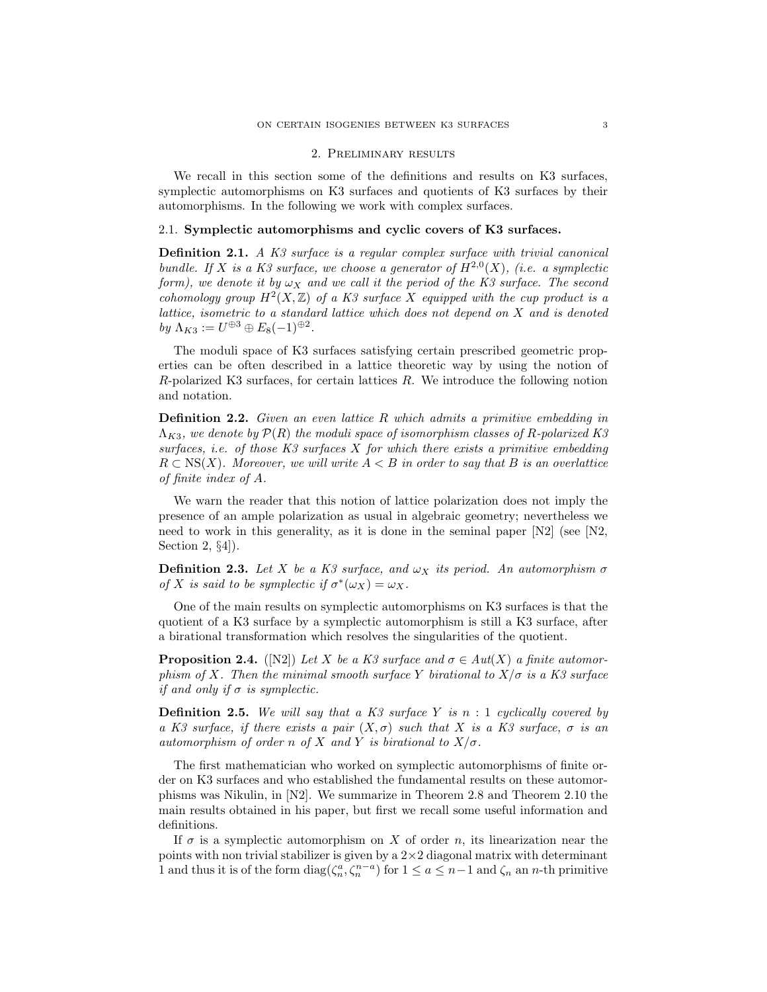#### 2. Preliminary results

We recall in this section some of the definitions and results on K3 surfaces, symplectic automorphisms on K3 surfaces and quotients of K3 surfaces by their automorphisms. In the following we work with complex surfaces.

## 2.1. Symplectic automorphisms and cyclic covers of K3 surfaces.

**Definition 2.1.** A K3 surface is a regular complex surface with trivial canonical bundle. If X is a K3 surface, we choose a generator of  $H^{2,0}(X)$ , (i.e. a symplectic form), we denote it by  $\omega_X$  and we call it the period of the K3 surface. The second cohomology group  $H^2(X,\mathbb{Z})$  of a K3 surface X equipped with the cup product is a lattice, isometric to a standard lattice which does not depend on X and is denoted by  $\Lambda_{K3} := U^{\oplus 3} \oplus E_8(-1)^{\oplus 2}$ .

The moduli space of K3 surfaces satisfying certain prescribed geometric properties can be often described in a lattice theoretic way by using the notion of R-polarized K3 surfaces, for certain lattices R. We introduce the following notion and notation.

**Definition 2.2.** Given an even lattice R which admits a primitive embedding in  $\Lambda_{K3}$ , we denote by  $\mathcal{P}(R)$  the moduli space of isomorphism classes of R-polarized K3 surfaces, i.e. of those  $K3$  surfaces  $X$  for which there exists a primitive embedding  $R \subset NS(X)$ . Moreover, we will write  $A \leq B$  in order to say that B is an overlattice of finite index of A.

We warn the reader that this notion of lattice polarization does not imply the presence of an ample polarization as usual in algebraic geometry; nevertheless we need to work in this generality, as it is done in the seminal paper  $[N2]$  (see  $[N2]$ , Section 2, §4]).

**Definition 2.3.** Let X be a K3 surface, and  $\omega_X$  its period. An automorphism  $\sigma$ of X is said to be symplectic if  $\sigma^*(\omega_X) = \omega_X$ .

One of the main results on symplectic automorphisms on K3 surfaces is that the quotient of a K3 surface by a symplectic automorphism is still a K3 surface, after a birational transformation which resolves the singularities of the quotient.

**Proposition 2.4.** ([N2]) Let X be a K3 surface and  $\sigma \in Aut(X)$  a finite automorphism of X. Then the minimal smooth surface Y birational to  $X/\sigma$  is a K3 surface if and only if  $\sigma$  is symplectic.

**Definition 2.5.** We will say that a K3 surface Y is  $n : 1$  cyclically covered by a K3 surface, if there exists a pair  $(X, \sigma)$  such that X is a K3 surface,  $\sigma$  is an automorphism of order n of X and Y is birational to  $X/\sigma$ .

The first mathematician who worked on symplectic automorphisms of finite order on K3 surfaces and who established the fundamental results on these automorphisms was Nikulin, in [N2]. We summarize in Theorem 2.8 and Theorem 2.10 the main results obtained in his paper, but first we recall some useful information and definitions.

If  $\sigma$  is a symplectic automorphism on X of order n, its linearization near the points with non trivial stabilizer is given by a  $2\times 2$  diagonal matrix with determinant 1 and thus it is of the form  $diag(\zeta_n^a, \zeta_n^{n-a})$  for  $1 \le a \le n-1$  and  $\zeta_n$  an n-th primitive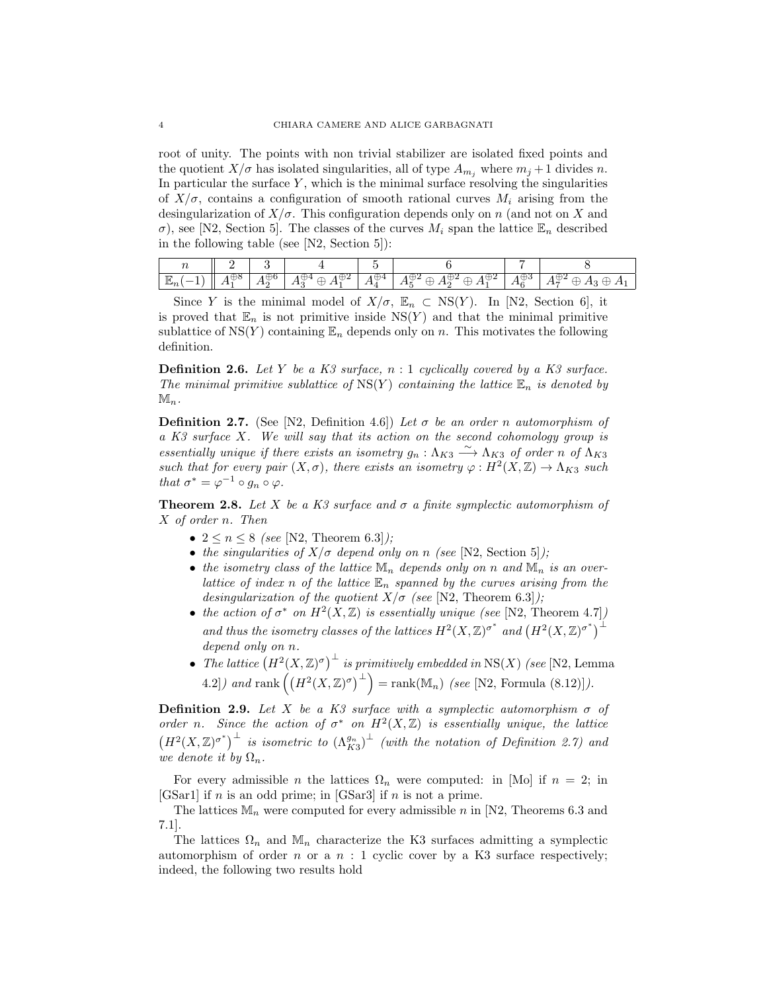root of unity. The points with non trivial stabilizer are isolated fixed points and the quotient  $X/\sigma$  has isolated singularities, all of type  $A_{m_i}$  where  $m_j + 1$  divides n. In particular the surface  $Y$ , which is the minimal surface resolving the singularities of  $X/\sigma$ , contains a configuration of smooth rational curves  $M_i$  arising from the desingularization of  $X/\sigma$ . This configuration depends only on n (and not on X and σ), see [N2, Section 5]. The classes of the curves  $M_i$  span the lattice  $\mathbb{E}_n$  described in the following table (see [N2, Section 5]):

| $\boldsymbol{\iota}$ |                |            |                    |   |                                      |     |                      |
|----------------------|----------------|------------|--------------------|---|--------------------------------------|-----|----------------------|
| $\pi$                | っこ<br>◡<br>. . | ◡<br>$\pi$ | $\pi$<br>ىك<br>. . | . | .<br>. .<br>$\overline{\phantom{a}}$ | . . | . .<br>. .<br>J<br>◡ |

Since Y is the minimal model of  $X/\sigma$ ,  $\mathbb{E}_n \subset \text{NS}(Y)$ . In [N2, Section 6], it is proved that  $\mathbb{E}_n$  is not primitive inside  $NS(Y)$  and that the minimal primitive sublattice of  $NS(Y)$  containing  $\mathbb{E}_n$  depends only on n. This motivates the following definition.

**Definition 2.6.** Let Y be a K3 surface,  $n:1$  cyclically covered by a K3 surface. The minimal primitive sublattice of  $NS(Y)$  containing the lattice  $\mathbb{E}_n$  is denoted by  $\mathbb{M}_n$ .

**Definition 2.7.** (See [N2, Definition 4.6]) Let  $\sigma$  be an order n automorphism of a K3 surface X. We will say that its action on the second cohomology group is essentially unique if there exists an isometry  $g_n : \Lambda_{K3} \longrightarrow \Lambda_{K3}$  of order n of  $\Lambda_{K3}$ such that for every pair  $(X, \sigma)$ , there exists an isometry  $\varphi : H^2(X, \mathbb{Z}) \to \Lambda_{K3}$  such that  $\sigma^* = \varphi^{-1} \circ g_n \circ \varphi$ .

**Theorem 2.8.** Let X be a K3 surface and  $\sigma$  a finite symplectic automorphism of X of order n. Then

- $2 \le n \le 8$  (see [N2, Theorem 6.3]);
- the singularities of  $X/\sigma$  depend only on n (see [N2, Section 5]);
- the isometry class of the lattice  $\mathbb{M}_n$  depends only on n and  $\mathbb{M}_n$  is an overlattice of index n of the lattice  $\mathbb{E}_n$  spanned by the curves arising from the desingularization of the quotient  $X/\sigma$  (see [N2, Theorem 6.3]);
- the action of  $\sigma^*$  on  $H^2(X,\mathbb{Z})$  is essentially unique (see [N2, Theorem 4.7]) and thus the isometry classes of the lattices  $H^2(X,\mathbb{Z})^{\sigma^*}$  and  $(H^2(X,\mathbb{Z})^{\sigma^*})^{\perp}$ depend only on n.
- The lattice  $(H^2(X,\mathbb{Z})^{\sigma})^{\perp}$  is primitively embedded in NS(X) (see [N2, Lemma 4.2]) and rank  $((H^2(X,\mathbb{Z})^{\sigma})^{\perp}) = \text{rank}(\mathbb{M}_n)$  (see [N2, Formula (8.12)]).

**Definition 2.9.** Let X be a K3 surface with a symplectic automorphism  $\sigma$  of order n. Since the action of  $\sigma^*$  on  $H^2(X,\mathbb{Z})$  is essentially unique, the lattice  $(H^2(X,\mathbb{Z})^{\sigma^*})^{\perp}$  is isometric to  $(\Lambda_{K3}^{g_n})^{\perp}$  (with the notation of Definition 2.7) and we denote it by  $\Omega_n$ .

For every admissible *n* the lattices  $\Omega_n$  were computed: in [Mo] if  $n = 2$ ; in [GSar1] if *n* is an odd prime; in [GSar3] if *n* is not a prime.

The lattices  $\mathbb{M}_n$  were computed for every admissible n in [N2, Theorems 6.3 and 7.1].

The lattices  $\Omega_n$  and  $\mathbb{M}_n$  characterize the K3 surfaces admitting a symplectic automorphism of order n or a  $n : 1$  cyclic cover by a K3 surface respectively; indeed, the following two results hold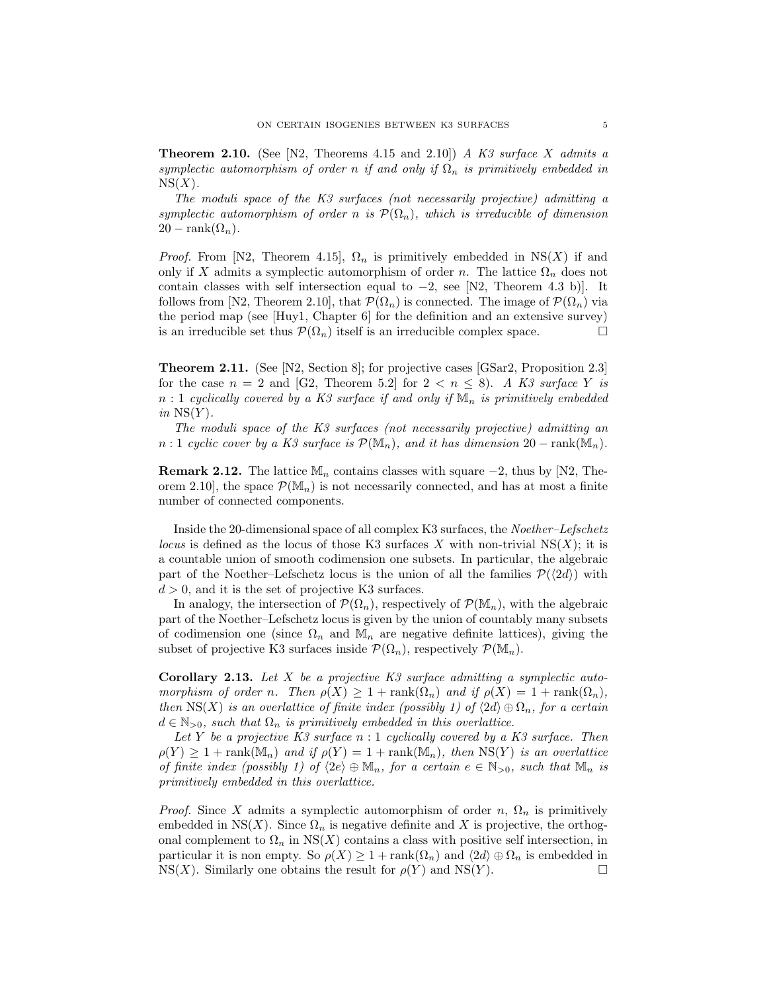**Theorem 2.10.** (See [N2, Theorems 4.15 and 2.10]) A K3 surface X admits a symplectic automorphism of order n if and only if  $\Omega_n$  is primitively embedded in  $NS(X)$ .

The moduli space of the K3 surfaces (not necessarily projective) admitting a symplectic automorphism of order n is  $\mathcal{P}(\Omega_n)$ , which is irreducible of dimension  $20 - \operatorname{rank}(\Omega_n)$ .

*Proof.* From [N2, Theorem 4.15],  $\Omega_n$  is primitively embedded in NS(X) if and only if X admits a symplectic automorphism of order n. The lattice  $\Omega_n$  does not contain classes with self intersection equal to  $-2$ , see [N2, Theorem 4.3 b)]. It follows from [N2, Theorem 2.10], that  $\mathcal{P}(\Omega_n)$  is connected. The image of  $\mathcal{P}(\Omega_n)$  via the period map (see [Huy1, Chapter 6] for the definition and an extensive survey) is an irreducible set thus  $\mathcal{P}(\Omega_n)$  itself is an irreducible complex space.

Theorem 2.11. (See [N2, Section 8]; for projective cases [GSar2, Proposition 2.3] for the case  $n = 2$  and [G2, Theorem 5.2] for  $2 < n \leq 8$ ). A K3 surface Y is  $n:1$  cyclically covered by a K3 surface if and only if  $\mathbb{M}_n$  is primitively embedded in  $NS(Y)$ .

The moduli space of the K3 surfaces (not necessarily projective) admitting an n : 1 cyclic cover by a K3 surface is  $\mathcal{P}(\mathbb{M}_n)$ , and it has dimension 20 – rank $(\mathbb{M}_n)$ .

**Remark 2.12.** The lattice  $\mathbb{M}_n$  contains classes with square  $-2$ , thus by [N2, Theorem 2.10, the space  $\mathcal{P}(\mathbb{M}_n)$  is not necessarily connected, and has at most a finite number of connected components.

Inside the 20-dimensional space of all complex K3 surfaces, the Noether–Lefschetz *locus* is defined as the locus of those K3 surfaces X with non-trivial  $NS(X)$ ; it is a countable union of smooth codimension one subsets. In particular, the algebraic part of the Noether–Lefschetz locus is the union of all the families  $\mathcal{P}(\langle 2d \rangle)$  with  $d > 0$ , and it is the set of projective K3 surfaces.

In analogy, the intersection of  $\mathcal{P}(\Omega_n)$ , respectively of  $\mathcal{P}(\mathbb{M}_n)$ , with the algebraic part of the Noether–Lefschetz locus is given by the union of countably many subsets of codimension one (since  $\Omega_n$  and  $\mathbb{M}_n$  are negative definite lattices), giving the subset of projective K3 surfaces inside  $\mathcal{P}(\Omega_n)$ , respectively  $\mathcal{P}(\mathbb{M}_n)$ .

**Corollary 2.13.** Let X be a projective  $K3$  surface admitting a symplectic automorphism of order n. Then  $\rho(X) \geq 1 + \text{rank}(\Omega_n)$  and if  $\rho(X) = 1 + \text{rank}(\Omega_n)$ , then NS(X) is an overlattice of finite index (possibly 1) of  $\langle 2d \rangle \oplus \Omega_n$ , for a certain  $d \in \mathbb{N}_{>0}$ , such that  $\Omega_n$  is primitively embedded in this overlattice.

Let Y be a projective K3 surface  $n:1$  cyclically covered by a K3 surface. Then  $\rho(Y) \geq 1 + \text{rank}(\mathbb{M}_n)$  and if  $\rho(Y) = 1 + \text{rank}(\mathbb{M}_n)$ , then  $\text{NS}(Y)$  is an overlattice of finite index (possibly 1) of  $\langle 2e \rangle \oplus \mathbb{M}_n$ , for a certain  $e \in \mathbb{N}_{>0}$ , such that  $\mathbb{M}_n$  is primitively embedded in this overlattice.

*Proof.* Since X admits a symplectic automorphism of order n,  $\Omega_n$  is primitively embedded in NS $(X)$ . Since  $\Omega_n$  is negative definite and X is projective, the orthogonal complement to  $\Omega_n$  in NS(X) contains a class with positive self intersection, in particular it is non empty. So  $\rho(X) \geq 1 + \text{rank}(\Omega_n)$  and  $\langle 2d \rangle \oplus \Omega_n$  is embedded in  $NS(X)$ . Similarly one obtains the result for  $\rho(Y)$  and  $NS(Y)$ .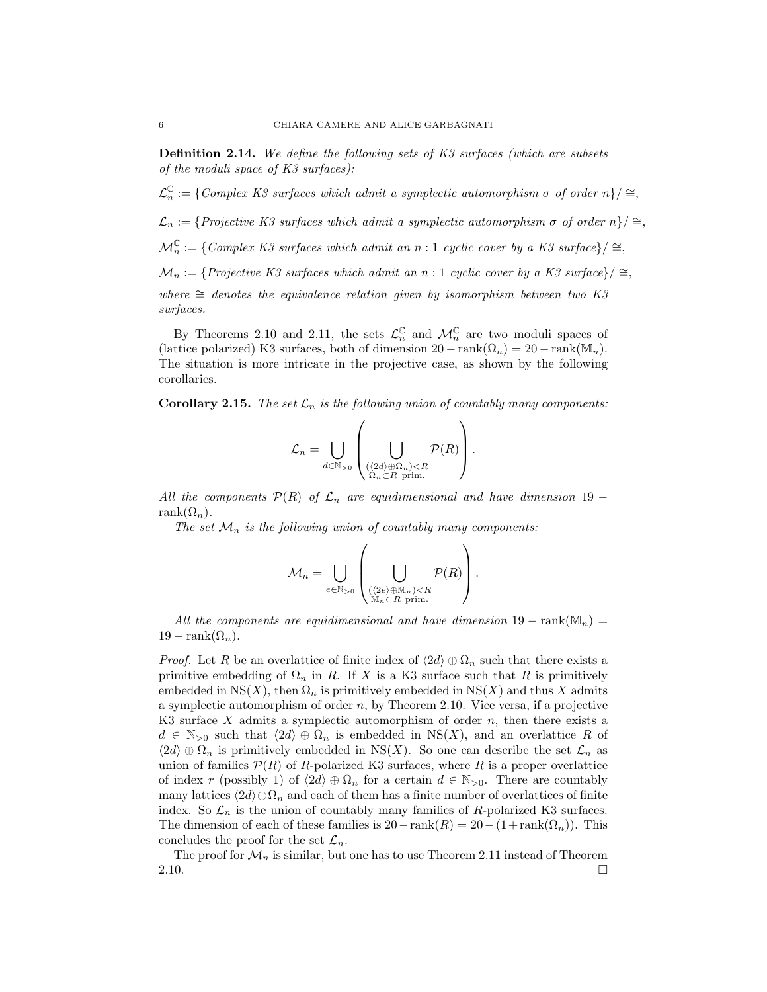Definition 2.14. We define the following sets of K3 surfaces (which are subsets of the moduli space of K3 surfaces):

 $\mathcal{L}_n^{\mathbb{C}}$  $\mathcal{L}^{\mathbb{C}}_n := \{ \text{Complex } K3 \text{ surfaces which admit a symplectic automorphism } \sigma \text{ of order } n \}/ \cong$ 

 $\mathcal{L}_n := \{ Projective K3 surfaces which admit a symplectic automorphism \sigma \ of order n \} / \cong$ 

 $\mathcal{M}_n^{\mathbb{C}} := \{ \text{Complex K3 surfaces which admit an } n : 1 \text{ cyclic cover by a K3 surface} \} / \cong$ 

 $\mathcal{M}_n := \{ Projective K3 surfaces which admit an n:1 cyclic cover by a K3 surface \} / \cong$ 

where  $\cong$  denotes the equivalence relation given by isomorphism between two K3 surfaces.

By Theorems 2.10 and 2.11, the sets  $\mathcal{L}_n^{\mathbb{C}}$  and  $\mathcal{M}_n^{\mathbb{C}}$  are two moduli spaces of (lattice polarized) K3 surfaces, both of dimension  $20 - \text{rank}(\Omega_n) = 20 - \text{rank}(\mathbb{M}_n)$ . The situation is more intricate in the projective case, as shown by the following corollaries.

**Corollary 2.15.** The set  $\mathcal{L}_n$  is the following union of countably many components:

$$
\mathcal{L}_n = \bigcup_{d \in \mathbb{N}_{>0}} \left( \bigcup_{\substack{(\langle 2d \rangle \oplus \Omega_n) < R \\ \Omega_n \subset R \text{ prim.}}} \mathcal{P}(R) \right).
$$

All the components  $\mathcal{P}(R)$  of  $\mathcal{L}_n$  are equidimensional and have dimension 19 − rank $(\Omega_n)$ .

The set  $\mathcal{M}_n$  is the following union of countably many components:

$$
\mathcal{M}_n = \bigcup_{e \in \mathbb{N}_{>0}} \left( \bigcup_{\substack{(\langle 2e\rangle \oplus \mathbb{M}_n) < R \\ \mathbb{M}_n \subset R \text{ prim.}}} \mathcal{P}(R) \right).
$$

All the components are equidimensional and have dimension  $19 - \text{rank}(\mathbb{M}_n) =$  $19 - \text{rank}(\Omega_n)$ .

*Proof.* Let R be an overlattice of finite index of  $\langle 2d \rangle \oplus \Omega_n$  such that there exists a primitive embedding of  $\Omega_n$  in R. If X is a K3 surface such that R is primitively embedded in  $NS(X)$ , then  $\Omega_n$  is primitively embedded in  $NS(X)$  and thus X admits a symplectic automorphism of order  $n$ , by Theorem 2.10. Vice versa, if a projective K3 surface X admits a symplectic automorphism of order  $n$ , then there exists a  $d \in \mathbb{N}_{>0}$  such that  $\langle 2d \rangle \oplus \Omega_n$  is embedded in NS(X), and an overlattice R of  $\langle 2d \rangle \oplus \Omega_n$  is primitively embedded in NS(X). So one can describe the set  $\mathcal{L}_n$  as union of families  $\mathcal{P}(R)$  of R-polarized K3 surfaces, where R is a proper overlattice of index r (possibly 1) of  $\langle 2d \rangle \oplus \Omega_n$  for a certain  $d \in \mathbb{N}_{>0}$ . There are countably many lattices  $\langle 2d \rangle \oplus \Omega_n$  and each of them has a finite number of overlattices of finite index. So  $\mathcal{L}_n$  is the union of countably many families of R-polarized K3 surfaces. The dimension of each of these families is  $20 - \text{rank}(R) = 20 - (1 + \text{rank}(\Omega_n))$ . This concludes the proof for the set  $\mathcal{L}_n$ .

The proof for  $\mathcal{M}_n$  is similar, but one has to use Theorem 2.11 instead of Theorem 2.10.  $\Box$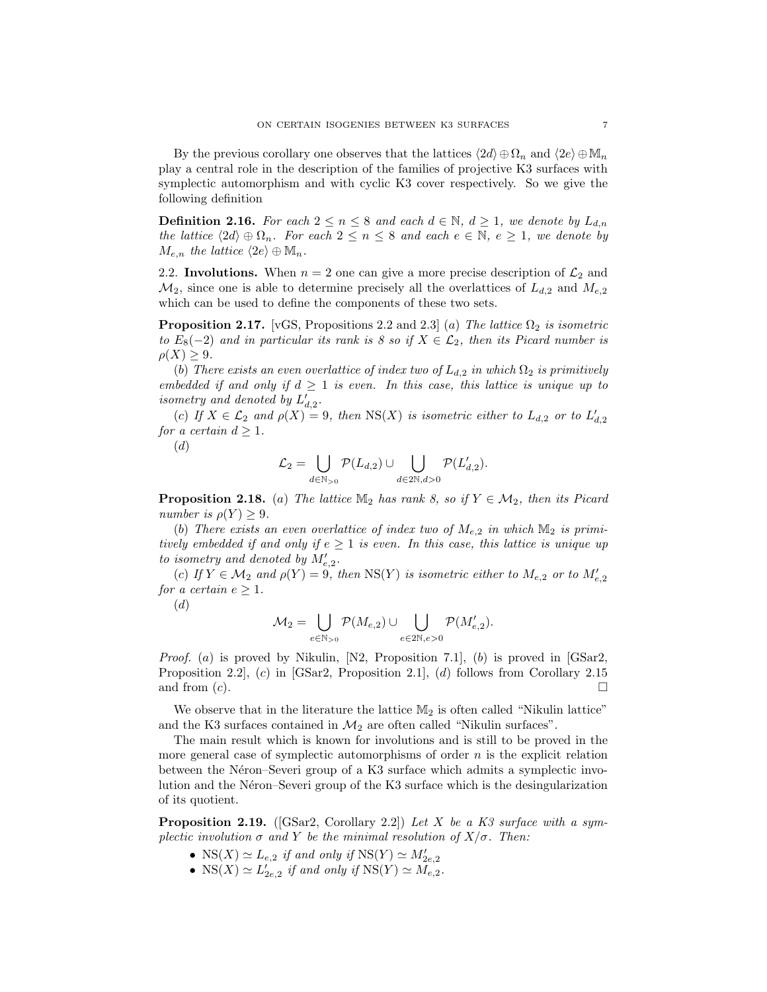By the previous corollary one observes that the lattices  $\langle 2d \rangle \oplus \Omega_n$  and  $\langle 2e \rangle \oplus \mathbb{M}_n$ play a central role in the description of the families of projective K3 surfaces with symplectic automorphism and with cyclic K3 cover respectively. So we give the following definition

**Definition 2.16.** For each  $2 \le n \le 8$  and each  $d \in \mathbb{N}$ ,  $d \ge 1$ , we denote by  $L_{d,n}$ the lattice  $\langle 2d \rangle \oplus \Omega_n$ . For each  $2 \leq n \leq 8$  and each  $e \in \mathbb{N}, e \geq 1$ , we denote by  $M_{e,n}$  the lattice  $\langle 2e \rangle \oplus \mathbb{M}_n$ .

2.2. Involutions. When  $n = 2$  one can give a more precise description of  $\mathcal{L}_2$  and  $\mathcal{M}_2$ , since one is able to determine precisely all the overlattices of  $L_{d,2}$  and  $M_{e,2}$ which can be used to define the components of these two sets.

**Proposition 2.17.** [vGS, Propositions 2.2 and 2.3] (a) The lattice  $\Omega_2$  is isometric to  $E_8(-2)$  and in particular its rank is 8 so if  $X \in \mathcal{L}_2$ , then its Picard number is  $\rho(X) \geq 9$ .

(b) There exists an even overlattice of index two of  $L_{d,2}$  in which  $\Omega_2$  is primitively embedded if and only if  $d \geq 1$  is even. In this case, this lattice is unique up to isometry and denoted by  $L'_{d,2}$ .

(c) If  $X \in \mathcal{L}_2$  and  $\rho(X) = 9$ , then  $NS(X)$  is isometric either to  $L_{d,2}$  or to  $L'_{d,2}$ for a certain  $d \geq 1$ .

(d)

$$
\mathcal{L}_2 = \bigcup_{d \in \mathbb{N}_{>0}} \mathcal{P}(L_{d,2}) \cup \bigcup_{d \in 2\mathbb{N}, d>0} \mathcal{P}(L'_{d,2}).
$$

**Proposition 2.18.** (a) The lattice  $\mathbb{M}_2$  has rank 8, so if  $Y \in \mathcal{M}_2$ , then its Picard number is  $\rho(Y) \geq 9$ .

(b) There exists an even overlattice of index two of  $M_{e,2}$  in which  $\mathbb{M}_2$  is primitively embedded if and only if  $e \geq 1$  is even. In this case, this lattice is unique up to isometry and denoted by  $M'_{e,2}$ .

(c) If  $Y \in \mathcal{M}_2$  and  $\rho(Y) = 9$ , then NS(Y) is isometric either to  $M_{e,2}$  or to  $M'_{e,2}$ for a certain  $e \geq 1$ .

(d)

$$
\mathcal{M}_2 = \bigcup_{e \in \mathbb{N}_{>0}} \mathcal{P}(M_{e,2}) \cup \bigcup_{e \in 2\mathbb{N}, e > 0} \mathcal{P}(M'_{e,2}).
$$

*Proof.* (a) is proved by Nikulin,  $[N2, P$ roposition 7.1, (b) is proved in  $[GSar2,$ Proposition 2.2], (c) in [GSar2, Proposition 2.1], (d) follows from Corollary 2.15 and from  $(c)$ .

We observe that in the literature the lattice  $M_2$  is often called "Nikulin lattice" and the K3 surfaces contained in  $\mathcal{M}_2$  are often called "Nikulin surfaces".

The main result which is known for involutions and is still to be proved in the more general case of symplectic automorphisms of order  $n$  is the explicit relation between the Néron–Severi group of a K3 surface which admits a symplectic involution and the Néron–Severi group of the K3 surface which is the desingularization of its quotient.

**Proposition 2.19.** ([GSar2, Corollary 2.2]) Let X be a K3 surface with a symplectic involution  $\sigma$  and Y be the minimal resolution of  $X/\sigma$ . Then:

- NS(X)  $\simeq L_{e,2}$  if and only if NS(Y)  $\simeq M'_{2e,2}$
- $NS(X) \simeq L'_{2e,2}$  if and only if  $NS(Y) \simeq M_{e,2}$ .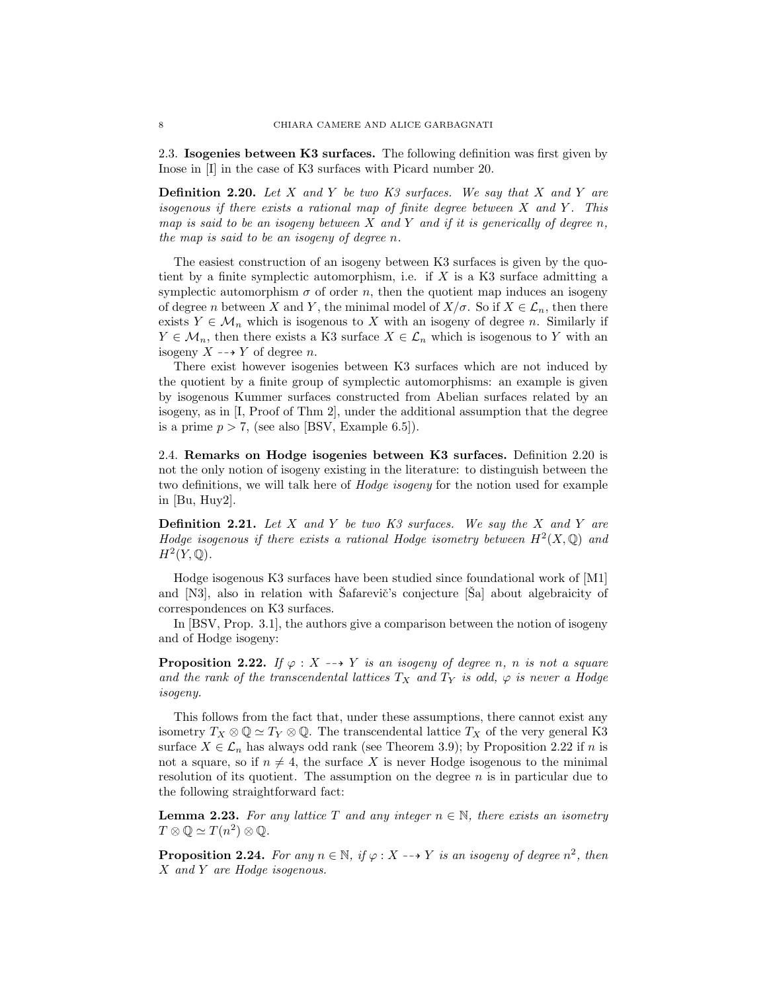2.3. Isogenies between K3 surfaces. The following definition was first given by Inose in [I] in the case of K3 surfaces with Picard number 20.

**Definition 2.20.** Let X and Y be two K3 surfaces. We say that X and Y are isogenous if there exists a rational map of finite degree between  $X$  and  $Y$ . This map is said to be an isogeny between  $X$  and  $Y$  and if it is generically of degree  $n$ , the map is said to be an isogeny of degree n.

The easiest construction of an isogeny between K3 surfaces is given by the quotient by a finite symplectic automorphism, i.e. if  $X$  is a K3 surface admitting a symplectic automorphism  $\sigma$  of order n, then the quotient map induces an isogeny of degree n between X and Y, the minimal model of  $X/\sigma$ . So if  $X \in \mathcal{L}_n$ , then there exists  $Y \in \mathcal{M}_n$  which is isogenous to X with an isogeny of degree n. Similarly if  $Y \in \mathcal{M}_n$ , then there exists a K3 surface  $X \in \mathcal{L}_n$  which is isogenous to Y with an isogeny  $X \dashrightarrow Y$  of degree n.

There exist however isogenies between K3 surfaces which are not induced by the quotient by a finite group of symplectic automorphisms: an example is given by isogenous Kummer surfaces constructed from Abelian surfaces related by an isogeny, as in [I, Proof of Thm 2], under the additional assumption that the degree is a prime  $p > 7$ , (see also [BSV, Example 6.5]).

2.4. Remarks on Hodge isogenies between K3 surfaces. Definition 2.20 is not the only notion of isogeny existing in the literature: to distinguish between the two definitions, we will talk here of Hodge isogeny for the notion used for example in [Bu, Huy2].

**Definition 2.21.** Let X and Y be two K3 surfaces. We say the X and Y are Hodge isogenous if there exists a rational Hodge isometry between  $H^2(X, \mathbb{Q})$  and  $H^2(Y,\mathbb{Q})$ .

Hodge isogenous K3 surfaces have been studied since foundational work of [M1] and  $[N3]$ , also in relation with Safarevič's conjecture  $[\text{Sal}$  about algebraicity of correspondences on K3 surfaces.

In [BSV, Prop. 3.1], the authors give a comparison between the notion of isogeny and of Hodge isogeny:

**Proposition 2.22.** If  $\varphi : X \dashrightarrow Y$  is an isogeny of degree n, n is not a square and the rank of the transcendental lattices  $T_X$  and  $T_Y$  is odd,  $\varphi$  is never a Hodge isogeny.

This follows from the fact that, under these assumptions, there cannot exist any isometry  $T_X \otimes \mathbb{Q} \simeq T_Y \otimes \mathbb{Q}$ . The transcendental lattice  $T_X$  of the very general K3 surface  $X \in \mathcal{L}_n$  has always odd rank (see Theorem 3.9); by Proposition 2.22 if n is not a square, so if  $n \neq 4$ , the surface X is never Hodge isogenous to the minimal resolution of its quotient. The assumption on the degree  $n$  is in particular due to the following straightforward fact:

**Lemma 2.23.** For any lattice T and any integer  $n \in \mathbb{N}$ , there exists an isometry  $T \otimes \mathbb{Q} \simeq T(n^2) \otimes \mathbb{Q}.$ 

**Proposition 2.24.** For any  $n \in \mathbb{N}$ , if  $\varphi : X \dashrightarrow Y$  is an isogeny of degree  $n^2$ , then X and Y are Hodge isogenous.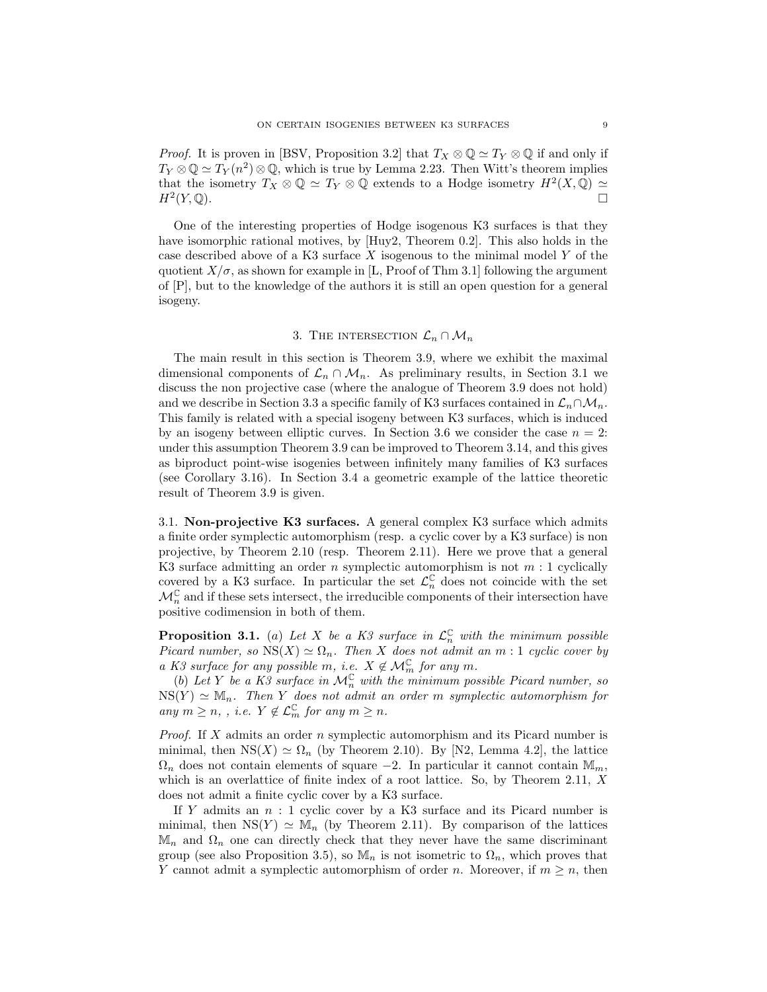*Proof.* It is proven in [BSV, Proposition 3.2] that  $T_X \otimes \mathbb{Q} \simeq T_Y \otimes \mathbb{Q}$  if and only if  $T_Y \otimes \mathbb{Q} \simeq T_Y(n^2) \otimes \mathbb{Q}$ , which is true by Lemma 2.23. Then Witt's theorem implies that the isometry  $T_X \otimes \mathbb{Q} \simeq T_Y \otimes \mathbb{Q}$  extends to a Hodge isometry  $H^2(X, \mathbb{Q}) \simeq$  $H^2(Y,\mathbb{Q})$ .  $(Y,\mathbb{Q})$ .

One of the interesting properties of Hodge isogenous K3 surfaces is that they have isomorphic rational motives, by [Huy2, Theorem 0.2]. This also holds in the case described above of a K3 surface  $X$  isogenous to the minimal model  $Y$  of the quotient  $X/\sigma$ , as shown for example in [L, Proof of Thm 3.1] following the argument of [P], but to the knowledge of the authors it is still an open question for a general isogeny.

# 3. THE INTERSECTION  $\mathcal{L}_n \cap \mathcal{M}_n$

The main result in this section is Theorem 3.9, where we exhibit the maximal dimensional components of  $\mathcal{L}_n \cap \mathcal{M}_n$ . As preliminary results, in Section 3.1 we discuss the non projective case (where the analogue of Theorem 3.9 does not hold) and we describe in Section 3.3 a specific family of K3 surfaces contained in  $\mathcal{L}_n \cap \mathcal{M}_n$ . This family is related with a special isogeny between K3 surfaces, which is induced by an isogeny between elliptic curves. In Section 3.6 we consider the case  $n = 2$ : under this assumption Theorem 3.9 can be improved to Theorem 3.14, and this gives as biproduct point-wise isogenies between infinitely many families of K3 surfaces (see Corollary 3.16). In Section 3.4 a geometric example of the lattice theoretic result of Theorem 3.9 is given.

3.1. Non-projective K3 surfaces. A general complex K3 surface which admits a finite order symplectic automorphism (resp. a cyclic cover by a K3 surface) is non projective, by Theorem 2.10 (resp. Theorem 2.11). Here we prove that a general K3 surface admitting an order n symplectic automorphism is not  $m:1$  cyclically covered by a K3 surface. In particular the set  $\mathcal{L}_n^{\mathbb{C}}$  does not coincide with the set  $\mathcal{M}_n^{\mathbb{C}}$  and if these sets intersect, the irreducible components of their intersection have positive codimension in both of them.

**Proposition 3.1.** (a) Let X be a K3 surface in  $\mathcal{L}_n^{\mathbb{C}}$  with the minimum possible Picard number, so  $NS(X) \simeq \Omega_n$ . Then X does not admit an m: 1 cyclic cover by a K3 surface for any possible m, i.e.  $X \notin \mathcal{M}_{m}^{\mathbb{C}}$  for any m.

(b) Let Y be a K3 surface in  $\mathcal{M}_n^{\mathbb{C}}$  with the minimum possible Picard number, so  $NS(Y) \simeq M_n$ . Then Y does not admit an order m symplectic automorphism for any  $m \geq n$ , , i.e.  $Y \notin \mathcal{L}_m^{\mathbb{C}}$  for any  $m \geq n$ .

*Proof.* If X admits an order n symplectic automorphism and its Picard number is minimal, then  $NS(X) \simeq \Omega_n$  (by Theorem 2.10). By [N2, Lemma 4.2], the lattice  $\Omega_n$  does not contain elements of square −2. In particular it cannot contain  $\mathbb{M}_m$ , which is an overlattice of finite index of a root lattice. So, by Theorem 2.11, X does not admit a finite cyclic cover by a K3 surface.

If Y admits an  $n:1$  cyclic cover by a K3 surface and its Picard number is minimal, then  $NS(Y) \simeq M_n$  (by Theorem 2.11). By comparison of the lattices  $\mathbb{M}_n$  and  $\Omega_n$  one can directly check that they never have the same discriminant group (see also Proposition 3.5), so  $\mathbb{M}_n$  is not isometric to  $\Omega_n$ , which proves that Y cannot admit a symplectic automorphism of order n. Moreover, if  $m \geq n$ , then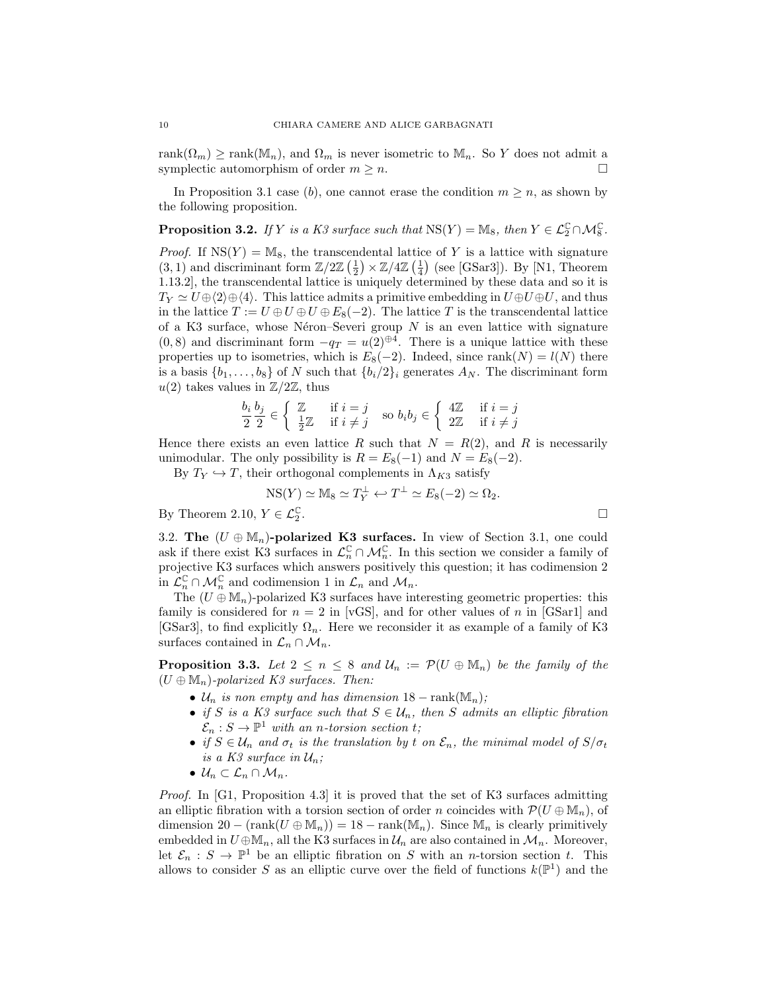rank $(\Omega_m)$  ≥ rank $(\mathbb{M}_n)$ , and  $\Omega_m$  is never isometric to  $\mathbb{M}_n$ . So Y does not admit a symplectic automorphism of order  $m \geq n$ .

In Proposition 3.1 case (b), one cannot erase the condition  $m \geq n$ , as shown by the following proposition.

**Proposition 3.2.** If Y is a K3 surface such that  $NS(Y) = M_8$ , then  $Y \in \mathcal{L}_2^{\mathbb{C}} \cap \mathcal{M}_8^{\mathbb{C}}$ .

*Proof.* If  $NS(Y) = M_8$ , the transcendental lattice of Y is a lattice with signature  $(3, 1)$  and discriminant form  $\mathbb{Z}/2\mathbb{Z}$   $\left(\frac{1}{2}\right) \times \mathbb{Z}/4\mathbb{Z}$   $\left(\frac{1}{4}\right)$  (see [GSar3]). By [N1, Theorem 1.13.2], the transcendental lattice is uniquely determined by these data and so it is  $T_Y \simeq U \oplus \langle 2 \rangle \oplus \langle 4 \rangle$ . This lattice admits a primitive embedding in  $U \oplus U \oplus U$ , and thus in the lattice  $T := U \oplus U \oplus U \oplus E_8(-2)$ . The lattice T is the transcendental lattice of a K3 surface, whose Néron–Severi group  $N$  is an even lattice with signature  $(0, 8)$  and discriminant form  $-q_T = u(2)^{\oplus 4}$ . There is a unique lattice with these properties up to isometries, which is  $E_8(-2)$ . Indeed, since rank $(N) = l(N)$  there is a basis  $\{b_1, \ldots, b_8\}$  of N such that  $\{b_i/2\}_i$  generates  $A_N$ . The discriminant form  $u(2)$  takes values in  $\mathbb{Z}/2\mathbb{Z}$ , thus

$$
\frac{b_i}{2} \frac{b_j}{2} \in \left\{ \begin{array}{ll} \mathbb{Z} & \text{if } i = j \\ \frac{1}{2} \mathbb{Z} & \text{if } i \neq j \end{array} \right. \text{ so } b_i b_j \in \left\{ \begin{array}{ll} 4 \mathbb{Z} & \text{if } i = j \\ 2 \mathbb{Z} & \text{if } i \neq j \end{array} \right.
$$

Hence there exists an even lattice R such that  $N = R(2)$ , and R is necessarily unimodular. The only possibility is  $R = E_8(-1)$  and  $N = E_8(-2)$ .

By  $T_Y \hookrightarrow T$ , their orthogonal complements in  $\Lambda_{K3}$  satisfy

NS(Y) 
$$
\simeq
$$
 M<sub>8</sub>  $\simeq$  T<sub>Y</sub> <sup>$\perp$</sup>   $\leftarrow$  T <sup>$\perp$</sup>   $\simeq$  E<sub>8</sub>(-2)  $\simeq$   $\Omega$ <sub>2</sub>.

By Theorem 2.10,  $Y \in \mathcal{L}_2^{\mathbb{C}}$ 

3.2. The  $(U \oplus M_n)$ -polarized K3 surfaces. In view of Section 3.1, one could ask if there exist K3 surfaces in  $\mathcal{L}_n^{\mathbb{C}} \cap \mathcal{M}_n^{\mathbb{C}}$ . In this section we consider a family of projective K3 surfaces which answers positively this question; it has codimension 2 in  $\mathcal{L}_n^{\mathbb{C}} \cap \mathcal{M}_n^{\mathbb{C}}$  and codimension 1 in  $\mathcal{L}_n$  and  $\mathcal{M}_n$ .

The  $(U \oplus M_n)$ -polarized K3 surfaces have interesting geometric properties: this family is considered for  $n = 2$  in [vGS], and for other values of n in [GSar1] and [GSar3], to find explicitly  $\Omega_n$ . Here we reconsider it as example of a family of K3 surfaces contained in  $\mathcal{L}_n \cap \mathcal{M}_n$ .

**Proposition 3.3.** Let  $2 \leq n \leq 8$  and  $\mathcal{U}_n := \mathcal{P}(U \oplus \mathbb{M}_n)$  be the family of the  $(U \oplus M_n)$ -polarized K3 surfaces. Then:

- $\mathcal{U}_n$  is non empty and has dimension  $18 \text{rank}(\mathbb{M}_n)$ ;
- if S is a K3 surface such that  $S \in \mathcal{U}_n$ , then S admits an elliptic fibration  $\mathcal{E}_n: S \to \mathbb{P}^1$  with an n-torsion section t;
- if  $S \in \mathcal{U}_n$  and  $\sigma_t$  is the translation by t on  $\mathcal{E}_n$ , the minimal model of  $S/\sigma_t$ is a K3 surface in  $\mathcal{U}_n$ ;
- $U_n \subset \mathcal{L}_n \cap \mathcal{M}_n$ .

Proof. In [G1, Proposition 4.3] it is proved that the set of K3 surfaces admitting an elliptic fibration with a torsion section of order n coincides with  $\mathcal{P}(U \oplus \mathbb{M}_n)$ , of dimension  $20 - (rank(U \oplus M_n)) = 18 - rank(M_n)$ . Since  $M_n$  is clearly primitively embedded in  $U \oplus M_n$ , all the K3 surfaces in  $\mathcal{U}_n$  are also contained in  $\mathcal{M}_n$ . Moreover, let  $\mathcal{E}_n : S \to \mathbb{P}^1$  be an elliptic fibration on S with an *n*-torsion section t. This allows to consider S as an elliptic curve over the field of functions  $k(\mathbb{P}^1)$  and the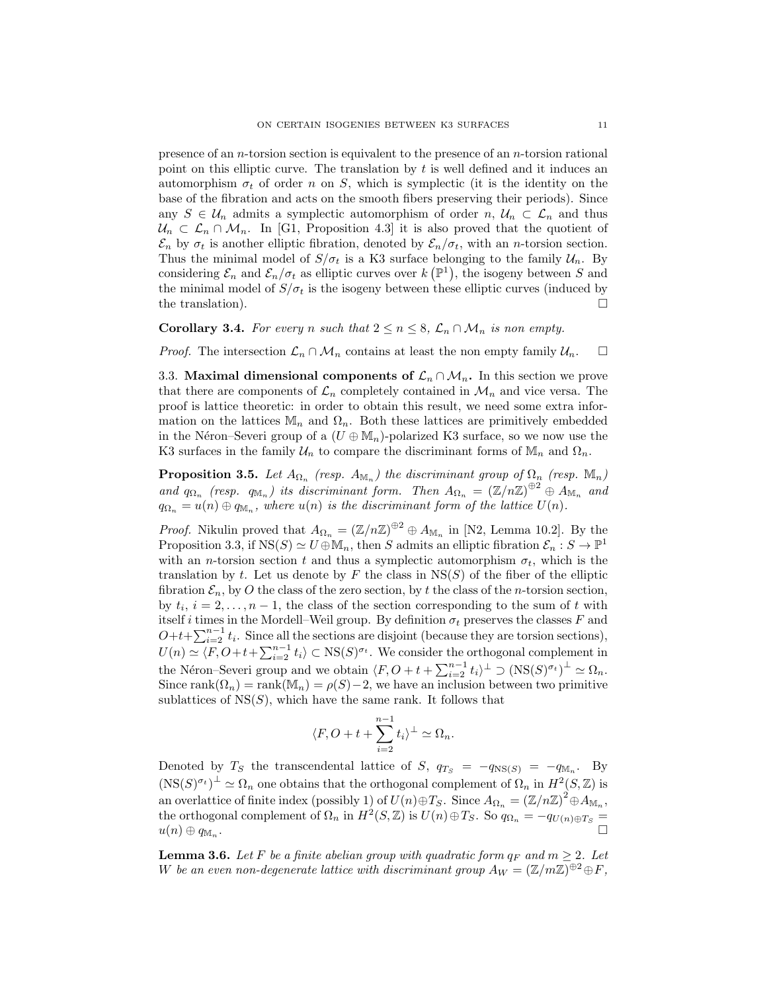presence of an  $n$ -torsion section is equivalent to the presence of an  $n$ -torsion rational point on this elliptic curve. The translation by  $t$  is well defined and it induces an automorphism  $\sigma_t$  of order n on S, which is symplectic (it is the identity on the base of the fibration and acts on the smooth fibers preserving their periods). Since any  $S \in \mathcal{U}_n$  admits a symplectic automorphism of order  $n, \mathcal{U}_n \subset \mathcal{L}_n$  and thus  $\mathcal{U}_n \subset \mathcal{L}_n \cap \mathcal{M}_n$ . In [G1, Proposition 4.3] it is also proved that the quotient of  $\mathcal{E}_n$  by  $\sigma_t$  is another elliptic fibration, denoted by  $\mathcal{E}_n/\sigma_t$ , with an *n*-torsion section. Thus the minimal model of  $S/\sigma_t$  is a K3 surface belonging to the family  $\mathcal{U}_n$ . By considering  $\mathcal{E}_n$  and  $\mathcal{E}_n/\sigma_t$  as elliptic curves over  $k(\mathbb{P}^1)$ , the isogeny between S and the minimal model of  $S/\sigma_t$  is the isogeny between these elliptic curves (induced by the translation).  $\Box$ 

# **Corollary 3.4.** For every n such that  $2 \le n \le 8$ ,  $\mathcal{L}_n \cap \mathcal{M}_n$  is non empty.

*Proof.* The intersection  $\mathcal{L}_n \cap \mathcal{M}_n$  contains at least the non empty family  $\mathcal{U}_n$ .  $\Box$ 

3.3. Maximal dimensional components of  $\mathcal{L}_n \cap \mathcal{M}_n$ . In this section we prove that there are components of  $\mathcal{L}_n$  completely contained in  $\mathcal{M}_n$  and vice versa. The proof is lattice theoretic: in order to obtain this result, we need some extra information on the lattices  $\mathbb{M}_n$  and  $\Omega_n$ . Both these lattices are primitively embedded in the Néron–Severi group of a  $(U \oplus M_n)$ -polarized K3 surface, so we now use the K3 surfaces in the family  $\mathcal{U}_n$  to compare the discriminant forms of  $\mathbb{M}_n$  and  $\Omega_n$ .

**Proposition 3.5.** Let  $A_{\Omega_n}$  (resp.  $A_{\mathbb{M}_n}$ ) the discriminant group of  $\Omega_n$  (resp.  $\mathbb{M}_n$ ) and  $q_{\Omega_n}$  (resp.  $q_{\mathbb{M}_n}$ ) its discriminant form. Then  $A_{\Omega_n} = (\mathbb{Z}/n\mathbb{Z})^{\oplus 2} \oplus A_{\mathbb{M}_n}$  and  $q_{\Omega_n} = u(n) \oplus q_{\mathbb{M}_n}$ , where  $u(n)$  is the discriminant form of the lattice  $U(n)$ .

*Proof.* Nikulin proved that  $A_{\Omega_n} = (\mathbb{Z}/n\mathbb{Z})^{\oplus 2} \oplus A_{\mathbb{M}_n}$  in [N2, Lemma 10.2]. By the Proposition 3.3, if  $NS(S) \simeq U \oplus M_n$ , then S admits an elliptic fibration  $\mathcal{E}_n : S \to \mathbb{P}^1$ with an *n*-torsion section t and thus a symplectic automorphism  $\sigma_t$ , which is the translation by t. Let us denote by F the class in  $NS(S)$  of the fiber of the elliptic fibration  $\mathcal{E}_n$ , by O the class of the zero section, by t the class of the n-torsion section, by  $t_i$ ,  $i = 2, \ldots, n - 1$ , the class of the section corresponding to the sum of t with itself i times in the Mordell–Weil group. By definition  $\sigma_t$  preserves the classes F and  $O+t+\sum_{i=2}^{n-1}t_i$ . Since all the sections are disjoint (because they are torsion sections),  $U(n) \simeq \langle F, O+t+\sum_{i=2}^{n-1} t_i \rangle \subset \text{NS}(S)^{\sigma_t}$ . We consider the orthogonal complement in the Néron–Severi group and we obtain  $\langle F, O + t + \sum_{i=2}^{n-1} t_i \rangle^{\perp} \supset (\text{NS}(S)^{\sigma_t})^{\perp} \simeq \Omega_n$ . Since rank $(\Omega_n)$  = rank $(\mathbb{M}_n)$  =  $\rho(S)$  – 2, we have an inclusion between two primitive sublattices of  $NS(S)$ , which have the same rank. It follows that

$$
\langle F, O + t + \sum_{i=2}^{n-1} t_i \rangle^{\perp} \simeq \Omega_n.
$$

Denoted by  $T_S$  the transcendental lattice of  $S$ ,  $q_{T_S} = -q_{\text{NS}(S)} = -q_{\text{M}_n}$ . By  $(\text{NS}(S)^{\sigma_t})^{\perp} \simeq \Omega_n$  one obtains that the orthogonal complement of  $\Omega_n$  in  $H^2(S, \mathbb{Z})$  is an overlattice of finite index (possibly 1) of  $U(n) \oplus T_S$ . Since  $A_{\Omega_n} = (\mathbb{Z}/n\mathbb{Z})^2 \oplus A_{\mathbb{M}_n}$ , the orthogonal complement of  $\Omega_n$  in  $H^2(S, \mathbb{Z})$  is  $U(n) \oplus T_S$ . So  $q_{\Omega_n} = -q_{U(n) \oplus T_S} =$  $u(n) \oplus q_{\mathbb{M}_n}$ . .

**Lemma 3.6.** Let F be a finite abelian group with quadratic form  $q_F$  and  $m \geq 2$ . Let W be an even non-degenerate lattice with discriminant group  $A_W = (\mathbb{Z}/m\mathbb{Z})^{\oplus 2} \oplus F$ ,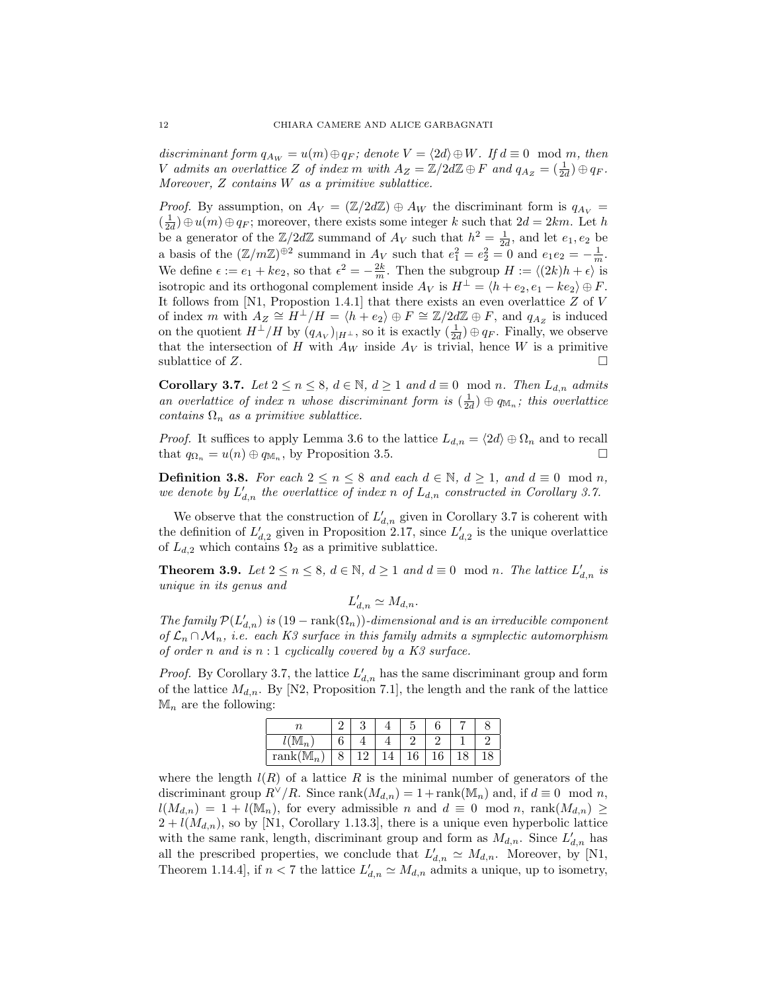discriminant form  $q_{A_W} = u(m) \oplus q_F$ ; denote  $V = \langle 2d \rangle \oplus W$ . If  $d \equiv 0 \mod m$ , then V admits an overlattice Z of index m with  $A_Z = \mathbb{Z}/2d\mathbb{Z} \oplus F$  and  $q_{A_Z} = \begin{pmatrix} 1 \\ 2d \end{pmatrix} \oplus q_F$ . Moreover, Z contains W as a primitive sublattice.

*Proof.* By assumption, on  $A_V = (\mathbb{Z}/2d\mathbb{Z}) \oplus A_W$  the discriminant form is  $q_{A_V} =$  $\left(\frac{1}{2d}\right)\oplus u(m)\oplus q_F$ ; moreover, there exists some integer k such that  $2d = 2km$ . Let h be a generator of the  $\mathbb{Z}/2d\mathbb{Z}$  summand of  $A_V$  such that  $h^2 = \frac{1}{2d}$ , and let  $e_1, e_2$  be a basis of the  $(\mathbb{Z}/m\mathbb{Z})^{\oplus 2}$  summand in  $A_V$  such that  $e_1^2 = e_2^2 = 0$  and  $e_1e_2 = -\frac{1}{m}$ . We define  $\epsilon := e_1 + ke_2$ , so that  $\epsilon^2 = -\frac{2k}{m}$ . Then the subgroup  $H := \langle (2k)h + \epsilon \rangle$  is isotropic and its orthogonal complement inside  $A_V$  is  $H^{\perp} = \langle h + e_2, e_1 - ke_2 \rangle \oplus F$ . It follows from  $[N1,$  Propostion 1.4.1 that there exists an even overlattice  $Z$  of  $V$ of index m with  $A_Z \cong H^{\perp}/H = \langle h + e_2 \rangle \oplus F \cong \mathbb{Z}/2d\mathbb{Z} \oplus F$ , and  $q_{A_Z}$  is induced on the quotient  $H^{\perp}/H$  by  $(q_{A_V})_{|H^{\perp}}$ , so it is exactly  $(\frac{1}{2d}) \oplus q_F$ . Finally, we observe that the intersection of H with  $A_W$  inside  $A_V$  is trivial, hence W is a primitive sublattice of Z.

Corollary 3.7. Let  $2 \le n \le 8$ ,  $d \in \mathbb{N}$ ,  $d \ge 1$  and  $d \equiv 0 \mod n$ . Then  $L_{d,n}$  admits an overlattice of index n whose discriminant form is  $(\frac{1}{2d}) \oplus q_{\mathbb{M}_n}$ ; this overlattice contains  $\Omega_n$  as a primitive sublattice.

*Proof.* It suffices to apply Lemma 3.6 to the lattice  $L_{d,n} = \langle 2d \rangle \oplus \Omega_n$  and to recall that  $q_{\Omega_n} = u(n) \oplus q_{\mathbb{M}_n}$ , by Proposition 3.5.

**Definition 3.8.** For each  $2 \le n \le 8$  and each  $d \in \mathbb{N}$ ,  $d \ge 1$ , and  $d \equiv 0 \mod n$ , we denote by  $L'_{d,n}$  the overlattice of index n of  $L_{d,n}$  constructed in Corollary 3.7.

We observe that the construction of  $L'_{d,n}$  given in Corollary 3.7 is coherent with the definition of  $L'_{d,2}$  given in Proposition 2.17, since  $L'_{d,2}$  is the unique overlattice of  $L_{d,2}$  which contains  $\Omega_2$  as a primitive sublattice.

**Theorem 3.9.** Let  $2 \le n \le 8$ ,  $d \in \mathbb{N}$ ,  $d \ge 1$  and  $d \equiv 0 \mod n$ . The lattice  $L'_{d,n}$  is unique in its genus and

 $L'_{d,n} \simeq M_{d,n}.$ 

The family  $\mathcal{P}(L'_{d,n})$  is  $(19 - \text{rank}(\Omega_n))$ -dimensional and is an irreducible component of  $\mathcal{L}_n \cap \mathcal{M}_n$ , i.e. each K3 surface in this family admits a symplectic automorphism of order n and is  $n:1$  cyclically covered by a K3 surface.

*Proof.* By Corollary 3.7, the lattice  $L'_{d,n}$  has the same discriminant group and form of the lattice  $M_{d,n}$ . By [N2, Proposition 7.1], the length and the rank of the lattice  $\mathbb{M}_n$  are the following:

| $rank(\mathbb{M}_n)$ | $\circ$ | ↵ | 16 | 10 |  |
|----------------------|---------|---|----|----|--|

where the length  $l(R)$  of a lattice R is the minimal number of generators of the discriminant group  $R^{\vee}/R$ . Since rank $(M_{d,n}) = 1 + \text{rank}(\mathbb{M}_n)$  and, if  $d \equiv 0 \mod n$ ,  $l(M_{d,n}) = 1 + l(\mathbb{M}_n)$ , for every admissible n and  $d \equiv 0 \mod n$ , rank $(M_{d,n}) \ge$  $2 + l(M_{d,n})$ , so by [N1, Corollary 1.13.3], there is a unique even hyperbolic lattice with the same rank, length, discriminant group and form as  $M_{d,n}$ . Since  $L'_{d,n}$  has all the prescribed properties, we conclude that  $L'_{d,n} \simeq M_{d,n}$ . Moreover, by [N1, Theorem 1.14.4, if  $n < 7$  the lattice  $L'_{d,n} \simeq M_{d,n}$  admits a unique, up to isometry,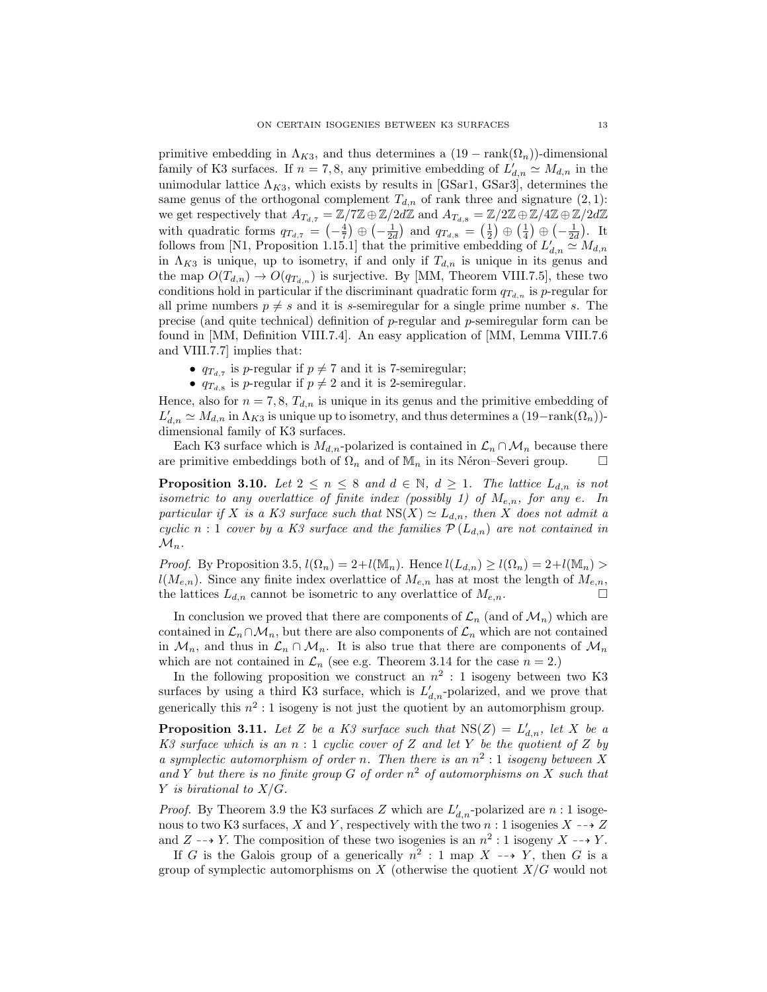primitive embedding in  $\Lambda_{K3}$ , and thus determines a  $(19 - \text{rank}(\Omega_n))$ -dimensional family of K3 surfaces. If  $n = 7, 8$ , any primitive embedding of  $L'_{d,n} \simeq M_{d,n}$  in the unimodular lattice  $\Lambda_{K3}$ , which exists by results in [GSar1, GSar3], determines the same genus of the orthogonal complement  $T_{d,n}$  of rank three and signature  $(2, 1)$ : we get respectively that  $A_{T_{d,7}} = \mathbb{Z}/7\mathbb{Z} \oplus \mathbb{Z}/2d\mathbb{Z}$  and  $A_{T_{d,8}} = \mathbb{Z}/2\mathbb{Z} \oplus \mathbb{Z}/4\mathbb{Z} \oplus \mathbb{Z}/2d\mathbb{Z}$ with quadratic forms  $q_{T_{d,7}} = \left(-\frac{4}{7}\right) \oplus \left(-\frac{1}{2d}\right)$  and  $q_{T_{d,8}} = \left(\frac{1}{2}\right) \oplus \left(\frac{1}{4}\right) \oplus \left(-\frac{1}{2d}\right)$ . It follows from [N1, Proposition 1.15.1] that the primitive embedding of  $L'_{d,n} \simeq M_{d,n}$ in  $\Lambda_{K3}$  is unique, up to isometry, if and only if  $T_{d,n}$  is unique in its genus and the map  $O(T_{d,n}) \to O(q_{T_{d,n}})$  is surjective. By [MM, Theorem VIII.7.5], these two conditions hold in particular if the discriminant quadratic form  $q_{T_{d,n}}$  is p-regular for all prime numbers  $p \neq s$  and it is s-semiregular for a single prime number s. The precise (and quite technical) definition of p-regular and p-semiregular form can be found in [MM, Definition VIII.7.4]. An easy application of [MM, Lemma VIII.7.6 and VIII.7.7] implies that:

- $q_{T_{d,7}}$  is p-regular if  $p \neq 7$  and it is 7-semiregular;
- $q_{T_{d,8}}$  is p-regular if  $p \neq 2$  and it is 2-semiregular.

Hence, also for  $n = 7, 8, T_{d,n}$  is unique in its genus and the primitive embedding of  $L'_{d,n} \simeq M_{d,n}$  in  $\Lambda_{K3}$  is unique up to isometry, and thus determines a  $(19-\text{rank}(\Omega_n))$ dimensional family of K3 surfaces.

Each K3 surface which is  $M_{d,n}$ -polarized is contained in  $\mathcal{L}_n \cap \mathcal{M}_n$  because there are primitive embeddings both of  $\Omega_n$  and of  $\mathbb{M}_n$  in its Néron–Severi group.  $\Box$ 

**Proposition 3.10.** Let  $2 \le n \le 8$  and  $d \in \mathbb{N}$ ,  $d \ge 1$ . The lattice  $L_{d,n}$  is not isometric to any overlattice of finite index (possibly 1) of  $M_{e,n}$ , for any e. In particular if X is a K3 surface such that  $NS(X) \simeq L_{d,n}$ , then X does not admit a cyclic n : 1 cover by a K3 surface and the families  $\mathcal{P}(L_{d,n})$  are not contained in  $\mathcal{M}_n$ .

*Proof.* By Proposition 3.5,  $l(\Omega_n) = 2 + l(\mathbb{M}_n)$ . Hence  $l(L_{d,n}) \geq l(\Omega_n) = 2 + l(\mathbb{M}_n) >$  $l(M_{e,n})$ . Since any finite index overlattice of  $M_{e,n}$  has at most the length of  $M_{e,n}$ , the lattices  $L_{d,n}$  cannot be isometric to any overlattice of  $M_{e,n}$ .

In conclusion we proved that there are components of  $\mathcal{L}_n$  (and of  $\mathcal{M}_n$ ) which are contained in  $\mathcal{L}_n \cap \mathcal{M}_n$ , but there are also components of  $\mathcal{L}_n$  which are not contained in  $\mathcal{M}_n$ , and thus in  $\mathcal{L}_n \cap \mathcal{M}_n$ . It is also true that there are components of  $\mathcal{M}_n$ which are not contained in  $\mathcal{L}_n$  (see e.g. Theorem 3.14 for the case  $n = 2$ .)

In the following proposition we construct an  $n^2:1$  isogeny between two K3 surfaces by using a third K3 surface, which is  $L'_{d,n}$ -polarized, and we prove that generically this  $n^2:1$  isogeny is not just the quotient by an automorphism group.

**Proposition 3.11.** Let Z be a K3 surface such that  $NS(Z) = L'_{d,n}$ , let X be a K3 surface which is an  $n:1$  cyclic cover of Z and let Y be the quotient of Z by a symplectic automorphism of order n. Then there is an  $n^2:1$  isogeny between X and Y but there is no finite group G of order  $n^2$  of automorphisms on X such that Y is birational to  $X/G$ .

*Proof.* By Theorem 3.9 the K3 surfaces Z which are  $L'_{d,n}$ -polarized are  $n:1$  isogenous to two K3 surfaces, X and Y, respectively with the two  $n:1$  isogenies  $X \dashrightarrow Z$ and  $Z \dashrightarrow Y$ . The composition of these two isogenies is an  $n^2 : 1$  isogeny  $X \dashrightarrow Y$ .

If G is the Galois group of a generically  $n^2 : 1$  map  $X \dashrightarrow Y$ , then G is a group of symplectic automorphisms on  $X$  (otherwise the quotient  $X/G$  would not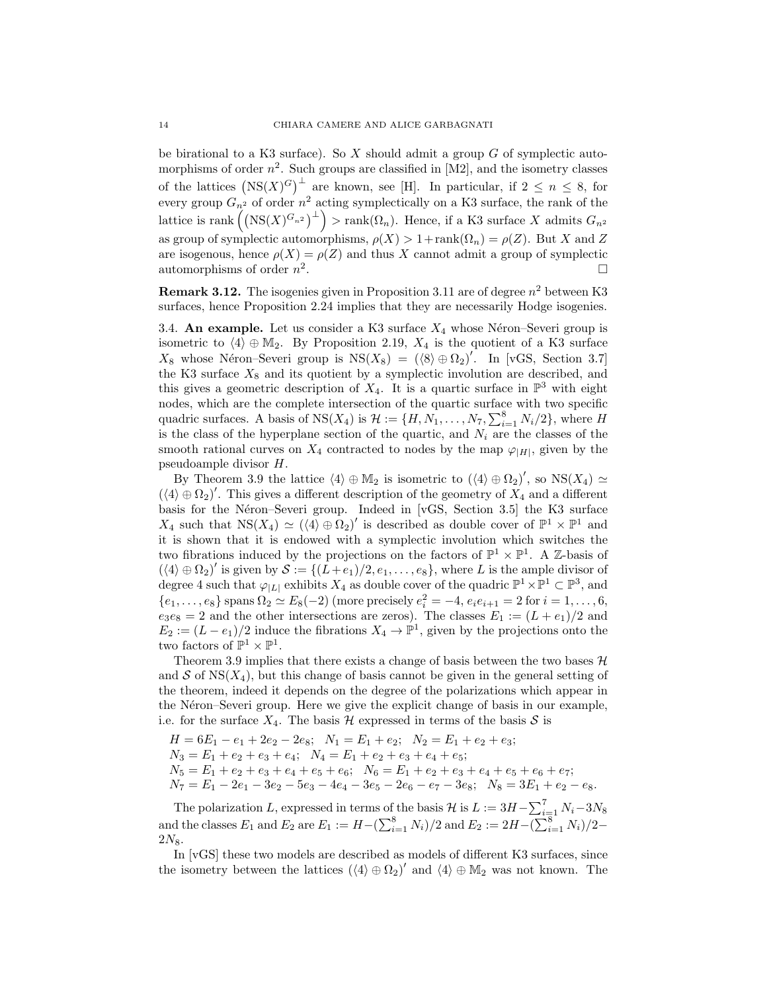be birational to a K3 surface). So X should admit a group  $G$  of symplectic automorphisms of order  $n^2$ . Such groups are classified in [M2], and the isometry classes of the lattices  $(NS(X)^G)^{\perp}$  are known, see [H]. In particular, if  $2 \leq n \leq 8$ , for every group  $G_{n^2}$  of order  $n^2$  acting symplectically on a K3 surface, the rank of the lattice is rank  $((NS(X)^{G_{n^2}})^{\perp})$  > rank $(\Omega_n)$ . Hence, if a K3 surface X admits  $G_{n^2}$ as group of symplectic automorphisms,  $\rho(X) > 1 + \text{rank}(\Omega_n) = \rho(Z)$ . But X and Z are isogenous, hence  $\rho(X) = \rho(Z)$  and thus X cannot admit a group of symplectic automorphisms of order  $n^2$ .

**Remark 3.12.** The isogenies given in Proposition 3.11 are of degree  $n^2$  between K3 surfaces, hence Proposition 2.24 implies that they are necessarily Hodge isogenies.

3.4. An example. Let us consider a K3 surface  $X_4$  whose Néron–Severi group is isometric to  $\langle 4 \rangle \oplus \mathbb{M}_2$ . By Proposition 2.19,  $X_4$  is the quotient of a K3 surface  $X_8$  whose Néron–Severi group is  $NS(X_8) = (\langle 8 \rangle \oplus \Omega_2)'$ . In [vGS, Section 3.7] the K3 surface  $X_8$  and its quotient by a symplectic involution are described, and this gives a geometric description of  $X_4$ . It is a quartic surface in  $\mathbb{P}^3$  with eight nodes, which are the complete intersection of the quartic surface with two specific quadric surfaces. A basis of  $NS(X_4)$  is  $\mathcal{H} := \{H, N_1, \ldots, N_7, \sum_{i=1}^8 N_i/2\}$ , where H is the class of the hyperplane section of the quartic, and  $N_i$  are the classes of the smooth rational curves on  $X_4$  contracted to nodes by the map  $\varphi_{|H|}$ , given by the pseudoample divisor H.

By Theorem 3.9 the lattice  $\langle 4 \rangle \oplus \mathbb{M}_2$  is isometric to  $(\langle 4 \rangle \oplus \Omega_2)'$ , so  $\text{NS}(X_4) \simeq$  $(\langle 4 \rangle \oplus \Omega_2)'$ . This gives a different description of the geometry of  $X_4$  and a different basis for the Néron–Severi group. Indeed in [vGS, Section 3.5] the K3 surface  $X_4$  such that  $NS(X_4) \simeq (\langle 4 \rangle \oplus \Omega_2)'$  is described as double cover of  $\mathbb{P}^1 \times \mathbb{P}^1$  and it is shown that it is endowed with a symplectic involution which switches the two fibrations induced by the projections on the factors of  $\mathbb{P}^1 \times \mathbb{P}^1$ . A Z-basis of  $(\langle 4 \rangle \oplus \Omega_2)'$  is given by  $\mathcal{S} := \{(L+e_1)/2, e_1, \ldots, e_8\}$ , where L is the ample divisor of degree 4 such that  $\varphi_{|L|}$  exhibits  $X_4$  as double cover of the quadric  $\mathbb{P}^1 \times \mathbb{P}^1 \subset \mathbb{P}^3$ , and  ${e_1, \ldots, e_8}$  spans  $\Omega_2 \simeq E_8(-2)$  (more precisely  $e_i^2 = -4, e_i e_{i+1} = 2$  for  $i = 1, \ldots, 6$ ,  $e_3e_8 = 2$  and the other intersections are zeros). The classes  $E_1 := (L + e_1)/2$  and  $E_2 := (L - e_1)/2$  induce the fibrations  $X_4 \to \mathbb{P}^1$ , given by the projections onto the two factors of  $\mathbb{P}^1 \times \mathbb{P}^1$ .

Theorem 3.9 implies that there exists a change of basis between the two bases  $\mathcal{H}$ and  $S$  of  $NS(X_4)$ , but this change of basis cannot be given in the general setting of the theorem, indeed it depends on the degree of the polarizations which appear in the Néron–Severi group. Here we give the explicit change of basis in our example, i.e. for the surface  $X_4$ . The basis H expressed in terms of the basis S is

 $H = 6E_1 - e_1 + 2e_2 - 2e_8$ ;  $N_1 = E_1 + e_2$ ;  $N_2 = E_1 + e_2 + e_3$ ;  $N_3 = E_1 + e_2 + e_3 + e_4; \ \ N_4 = E_1 + e_2 + e_3 + e_4 + e_5;$  $N_5 = E_1 + e_2 + e_3 + e_4 + e_5 + e_6$ ;  $N_6 = E_1 + e_2 + e_3 + e_4 + e_5 + e_6 + e_7$ ;  $N_7 = E_1 - 2e_1 - 3e_2 - 5e_3 - 4e_4 - 3e_5 - 2e_6 - e_7 - 3e_8;$   $N_8 = 3E_1 + e_2 - e_8.$ 

The polarization L, expressed in terms of the basis  $\mathcal{H}$  is  $L := 3H - \sum_{i=1}^{7} N_i - 3N_8$ and the classes  $E_1$  and  $E_2$  are  $E_1 := H - (\sum_{i=1}^8 N_i)/2$  and  $E_2 := 2H - (\sum_{i=1}^8 N_i)/2 2N_8$ .

In [vGS] these two models are described as models of different K3 surfaces, since the isometry between the lattices  $(\langle 4 \rangle \oplus \Omega_2)'$  and  $\langle 4 \rangle \oplus M_2$  was not known. The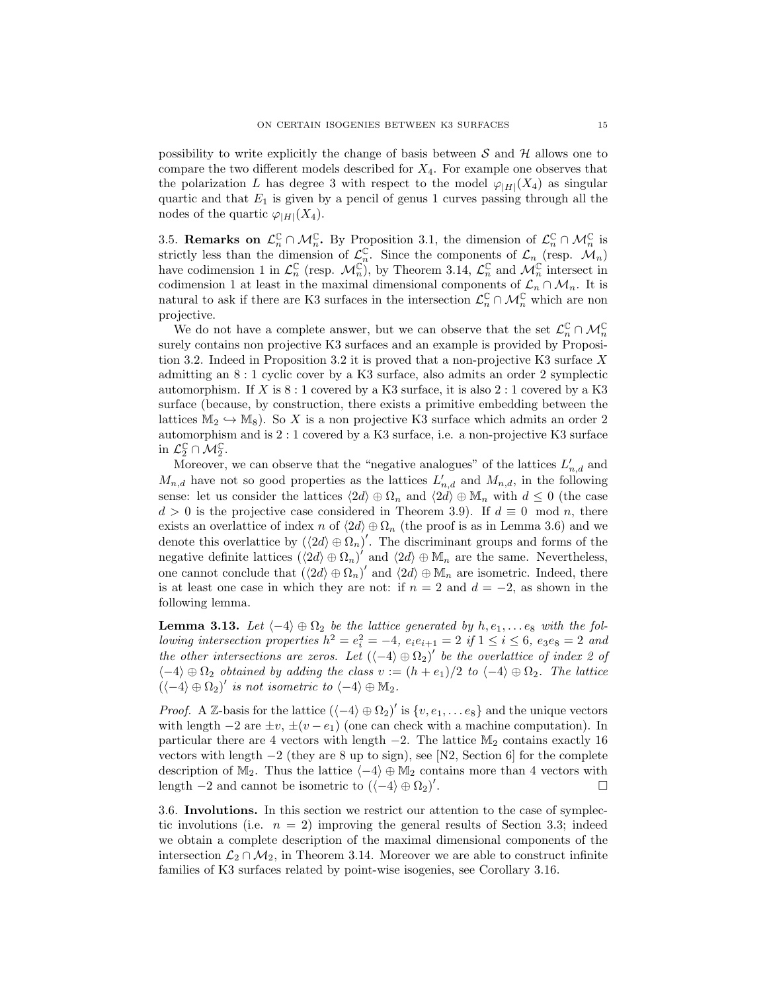possibility to write explicitly the change of basis between  $S$  and  $H$  allows one to compare the two different models described for  $X_4$ . For example one observes that the polarization L has degree 3 with respect to the model  $\varphi_{|H|}(X_4)$  as singular quartic and that  $E_1$  is given by a pencil of genus 1 curves passing through all the nodes of the quartic  $\varphi_{|H|}(X_4)$ .

3.5. Remarks on  $\mathcal{L}_n^{\mathbb{C}} \cap \mathcal{M}_n^{\mathbb{C}}$ . By Proposition 3.1, the dimension of  $\mathcal{L}_n^{\mathbb{C}} \cap \mathcal{M}_n^{\mathbb{C}}$  is strictly less than the dimension of  $\mathcal{L}_n^{\mathbb{C}}$ . Since the components of  $\mathcal{L}_n$  (resp.  $\mathcal{M}_n$ ) have codimension 1 in  $\mathcal{L}_n^{\mathbb{C}}$  (resp.  $\mathcal{M}_n^{\mathbb{C}}$ ), by Theorem 3.14,  $\mathcal{L}_n^{\mathbb{C}}$  and  $\mathcal{M}_n^{\mathbb{C}}$  intersect in codimension 1 at least in the maximal dimensional components of  $\mathcal{L}_n \cap \mathcal{M}_n$ . It is natural to ask if there are K3 surfaces in the intersection  $\mathcal{L}_n^{\mathbb{C}} \cap \mathcal{M}_n^{\mathbb{C}}$  which are non projective.

We do not have a complete answer, but we can observe that the set  $\mathcal{L}_n^{\mathbb{C}} \cap \mathcal{M}_n^{\mathbb{C}}$ surely contains non projective K3 surfaces and an example is provided by Proposition 3.2. Indeed in Proposition 3.2 it is proved that a non-projective K3 surface X admitting an 8 : 1 cyclic cover by a K3 surface, also admits an order 2 symplectic automorphism. If X is  $8:1$  covered by a K3 surface, it is also  $2:1$  covered by a K3 surface (because, by construction, there exists a primitive embedding between the lattices  $M_2 \hookrightarrow M_8$ ). So X is a non projective K3 surface which admits an order 2 automorphism and is 2 : 1 covered by a K3 surface, i.e. a non-projective K3 surface in  $\mathcal{L}_2^{\mathbb{C}} \cap \mathcal{M}_2^{\mathbb{C}}$ .

Moreover, we can observe that the "negative analogues" of the lattices  $L'_{n,d}$  and  $M_{n,d}$  have not so good properties as the lattices  $L'_{n,d}$  and  $M_{n,d}$ , in the following sense: let us consider the lattices  $\langle 2d \rangle \oplus \Omega_n$  and  $\langle 2d \rangle \oplus \mathbb{M}_n$  with  $d \leq 0$  (the case  $d > 0$  is the projective case considered in Theorem 3.9). If  $d \equiv 0 \mod n$ , there exists an overlattice of index n of  $\langle 2d \rangle \oplus \Omega_n$  (the proof is as in Lemma 3.6) and we denote this overlattice by  $(\langle 2d \rangle \oplus \Omega_n)'$ . The discriminant groups and forms of the negative definite lattices  $(\langle 2d \rangle \oplus \Omega_n)'$  and  $\langle 2d \rangle \oplus \mathbb{M}_n$  are the same. Nevertheless, one cannot conclude that  $(\langle 2d \rangle \oplus \Omega_n)'$  and  $\langle 2d \rangle \oplus \mathbb{M}_n$  are isometric. Indeed, there is at least one case in which they are not: if  $n = 2$  and  $d = -2$ , as shown in the following lemma.

**Lemma 3.13.** Let  $\langle -4 \rangle \oplus \Omega_2$  be the lattice generated by  $h, e_1, \ldots e_8$  with the following intersection properties  $h^2 = e_i^2 = -4$ ,  $e_i e_{i+1} = 2$  if  $1 \le i \le 6$ ,  $e_3 e_8 = 2$  and the other intersections are zeros. Let  $(\langle -4 \rangle \oplus \Omega_2)'$  be the overlattice of index 2 of  $\langle -4 \rangle \oplus \Omega_2$  obtained by adding the class  $v := (h + e_1)/2$  to  $\langle -4 \rangle \oplus \Omega_2$ . The lattice  $(\langle -4 \rangle \oplus \Omega_2)'$  is not isometric to  $\langle -4 \rangle \oplus \mathbb{M}_2$ .

*Proof.* A Z-basis for the lattice  $(\langle -4 \rangle \oplus \Omega_2)'$  is  $\{v, e_1, \ldots e_8\}$  and the unique vectors with length  $-2$  are  $\pm v$ ,  $\pm (v - e_1)$  (one can check with a machine computation). In particular there are 4 vectors with length  $-2$ . The lattice  $M_2$  contains exactly 16 vectors with length  $-2$  (they are 8 up to sign), see [N2, Section 6] for the complete description of M<sub>2</sub>. Thus the lattice  $\langle -4 \rangle \oplus M_2$  contains more than 4 vectors with length  $-2$  and cannot be isometric to  $(\langle -4 \rangle \oplus \Omega_2)'$ .

3.6. Involutions. In this section we restrict our attention to the case of symplectic involutions (i.e.  $n = 2$ ) improving the general results of Section 3.3; indeed we obtain a complete description of the maximal dimensional components of the intersection  $\mathcal{L}_2 \cap \mathcal{M}_2$ , in Theorem 3.14. Moreover we are able to construct infinite families of K3 surfaces related by point-wise isogenies, see Corollary 3.16.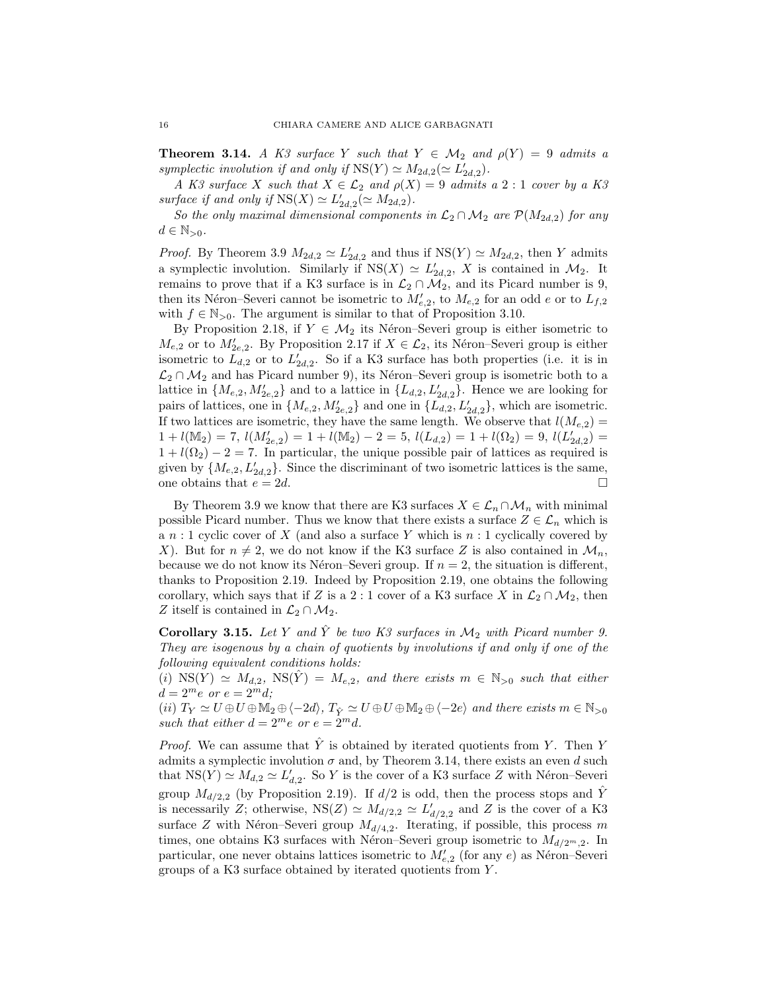**Theorem 3.14.** A K3 surface Y such that  $Y \in \mathcal{M}_2$  and  $\rho(Y) = 9$  admits a symplectic involution if and only if  $NS(Y) \simeq M_{2d,2}(\simeq L'_{2d,2})$ .

A K3 surface X such that  $X \in \mathcal{L}_2$  and  $\rho(X) = 9$  admits a 2 : 1 cover by a K3 surface if and only if  $NS(X) \simeq L'_{2d,2}(\simeq M_{2d,2}).$ 

So the only maximal dimensional components in  $\mathcal{L}_2 \cap \mathcal{M}_2$  are  $\mathcal{P}(M_{2d,2})$  for any  $d \in \mathbb{N}_{>0}$ .

*Proof.* By Theorem 3.9  $M_{2d,2} \simeq L'_{2d,2}$  and thus if  $NS(Y) \simeq M_{2d,2}$ , then Y admits a symplectic involution. Similarly if  $NS(X) \simeq L'_{2d,2}$ , X is contained in  $\mathcal{M}_2$ . It remains to prove that if a K3 surface is in  $\mathcal{L}_2 \cap \mathcal{M}_2$ , and its Picard number is 9, then its Néron–Severi cannot be isometric to  $M'_{e,2}$ , to  $M_{e,2}$  for an odd e or to  $L_{f,2}$ with  $f \in \mathbb{N}_{>0}$ . The argument is similar to that of Proposition 3.10.

By Proposition 2.18, if  $Y \in \mathcal{M}_2$  its Néron–Severi group is either isometric to  $M_{e,2}$  or to  $M'_{2e,2}$ . By Proposition 2.17 if  $X \in \mathcal{L}_2$ , its Néron–Severi group is either isometric to  $L_{d,2}$  or to  $L'_{2d,2}$ . So if a K3 surface has both properties (i.e. it is in  $\mathcal{L}_2 \cap \mathcal{M}_2$  and has Picard number 9), its Néron–Severi group is isometric both to a lattice in  $\{M_{e,2}, M'_{2e,2}\}\$  and to a lattice in  $\{L_{d,2}, L'_{2d,2}\}\$ . Hence we are looking for pairs of lattices, one in  $\{M_{e,2}, M'_{2e,2}\}\$  and one in  $\{L_{d,2}, L'_{2d,2}\}\$ , which are isometric. If two lattices are isometric, they have the same length. We observe that  $l(M_{e,2}) =$  $1 + l(\mathbb{M}_2) = 7, l(M'_{2e,2}) = 1 + l(\mathbb{M}_2) - 2 = 5, l(L_{d,2}) = 1 + l(\Omega_2) = 9, l(L'_{2d,2}) = 1$  $1 + l(\Omega_2) - 2 = 7$ . In particular, the unique possible pair of lattices as required is given by  $\{M_{e,2}, L'_{2d,2}\}$ . Since the discriminant of two isometric lattices is the same, one obtains that  $e = 2d$ .

By Theorem 3.9 we know that there are K3 surfaces  $X \in \mathcal{L}_n \cap \mathcal{M}_n$  with minimal possible Picard number. Thus we know that there exists a surface  $Z \in \mathcal{L}_n$  which is a  $n:1$  cyclic cover of  $X$  (and also a surface Y which is  $n:1$  cyclically covered by X). But for  $n \neq 2$ , we do not know if the K3 surface Z is also contained in  $\mathcal{M}_n$ , because we do not know its Néron–Severi group. If  $n = 2$ , the situation is different, thanks to Proposition 2.19. Indeed by Proposition 2.19, one obtains the following corollary, which says that if Z is a 2 : 1 cover of a K3 surface X in  $\mathcal{L}_2 \cap \mathcal{M}_2$ , then Z itself is contained in  $\mathcal{L}_2 \cap \mathcal{M}_2$ .

Corollary 3.15. Let Y and  $\hat{Y}$  be two K3 surfaces in  $\mathcal{M}_2$  with Picard number 9. They are isogenous by a chain of quotients by involutions if and only if one of the following equivalent conditions holds:

(i)  $NS(Y) \simeq M_{d,2}$ ,  $NS(\hat{Y}) = M_{e,2}$ , and there exists  $m \in \mathbb{N}_{>0}$  such that either  $d = 2^m e$  or  $e = 2^m d;$ 

(ii)  $T_Y \simeq U \oplus U \oplus M_2 \oplus \langle -2d \rangle$ ,  $T_{\hat{Y}} \simeq U \oplus U \oplus M_2 \oplus \langle -2e \rangle$  and there exists  $m \in \mathbb{N}_{>0}$ such that either  $d = 2^m e$  or  $e = 2^m d$ .

*Proof.* We can assume that Y is obtained by iterated quotients from Y. Then Y admits a symplectic involution  $\sigma$  and, by Theorem 3.14, there exists an even d such that  $NS(Y) \simeq M_{d,2} \simeq L'_{d,2}$ . So Y is the cover of a K3 surface Z with Néron–Severi group  $M_{d/2,2}$  (by Proposition 2.19). If  $d/2$  is odd, then the process stops and  $\hat{Y}$ is necessarily Z; otherwise,  $NS(Z) \simeq M_{d/2,2} \simeq L'_{d/2,2}$  and Z is the cover of a K3 surface  $Z$  with Néron–Severi group  $M_{d/4,2}$ . Iterating, if possible, this process m times, one obtains K3 surfaces with Néron–Severi group isometric to  $M_{d/2^m,2}$ . In particular, one never obtains lattices isometric to  $M'_{e,2}$  (for any e) as Néron–Severi groups of a K3 surface obtained by iterated quotients from Y .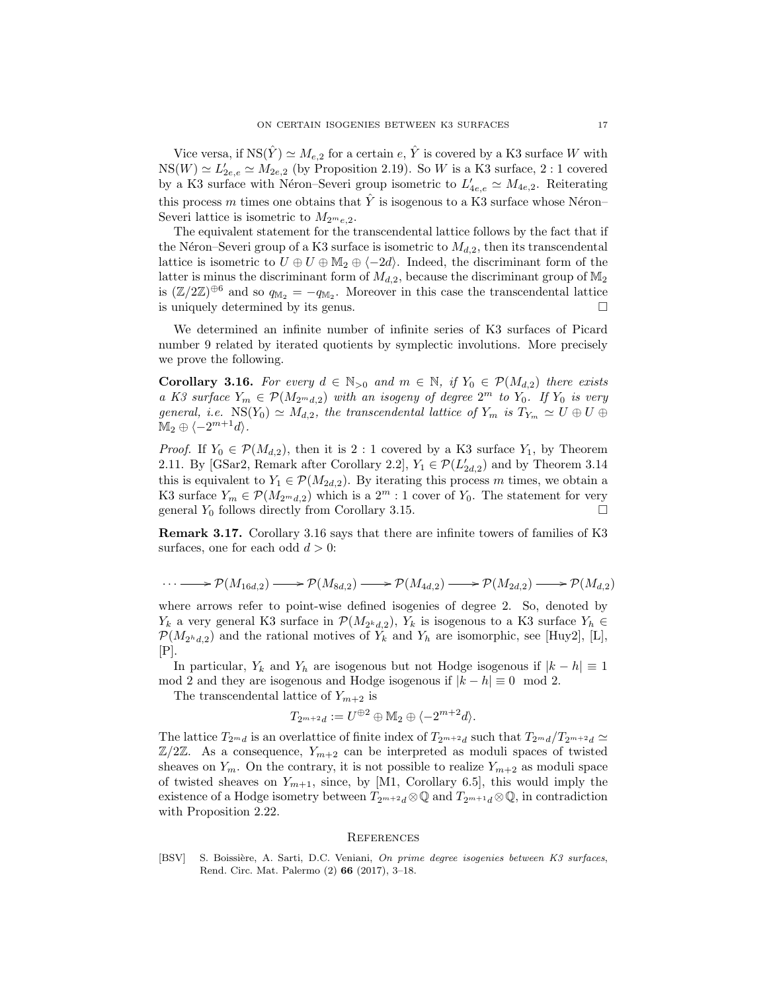Vice versa, if  $NS(\hat{Y}) \simeq M_{e,2}$  for a certain e,  $\hat{Y}$  is covered by a K3 surface W with  $NS(W) \simeq L'_{2e,e} \simeq M_{2e,2}$  (by Proposition 2.19). So W is a K3 surface, 2 : 1 covered by a K3 surface with Néron–Severi group isometric to  $L'_{4e,e} \simeq M_{4e,2}$ . Reiterating this process m times one obtains that  $\hat{Y}$  is isogenous to a K3 surface whose Néron– Severi lattice is isometric to  $M_{2m_{e,2}}$ .

The equivalent statement for the transcendental lattice follows by the fact that if the Néron–Severi group of a K3 surface is isometric to  $M_{d,2}$ , then its transcendental lattice is isometric to  $U \oplus U \oplus M_2 \oplus \langle -2d \rangle$ . Indeed, the discriminant form of the latter is minus the discriminant form of  $M_{d,2}$ , because the discriminant group of  $\mathbb{M}_2$ is  $(\mathbb{Z}/2\mathbb{Z})^{\oplus 6}$  and so  $q_{\mathbb{M}_2} = -q_{\mathbb{M}_2}$ . Moreover in this case the transcendental lattice is uniquely determined by its genus.

We determined an infinite number of infinite series of K3 surfaces of Picard number 9 related by iterated quotients by symplectic involutions. More precisely we prove the following.

**Corollary 3.16.** For every  $d \in \mathbb{N}_{>0}$  and  $m \in \mathbb{N}$ , if  $Y_0 \in \mathcal{P}(M_{d,2})$  there exists a K3 surface  $Y_m \in \mathcal{P}(M_{2^m d,2})$  with an isogeny of degree  $2^m$  to  $Y_0$ . If  $Y_0$  is very general, i.e.  $NS(Y_0) \simeq M_{d,2}$ , the transcendental lattice of  $Y_m$  is  $T_{Y_m} \simeq U \oplus U \oplus U$  $\mathbb{M}_2 \oplus \langle -2^{m+1}d \rangle.$ 

*Proof.* If  $Y_0 \in \mathcal{P}(M_{d,2})$ , then it is 2 : 1 covered by a K3 surface  $Y_1$ , by Theorem 2.11. By [GSar2, Remark after Corollary 2.2],  $Y_1 \in \mathcal{P}(L'_{2d,2})$  and by Theorem 3.14 this is equivalent to  $Y_1 \in \mathcal{P}(M_{2d,2})$ . By iterating this process m times, we obtain a K3 surface  $Y_m \in \mathcal{P}(M_{2^m d,2})$  which is a  $2^m : 1$  cover of  $Y_0$ . The statement for very general  $Y_0$  follows directly from Corollary 3.15.

Remark 3.17. Corollary 3.16 says that there are infinite towers of families of K3 surfaces, one for each odd  $d > 0$ :

$$
\cdots \longrightarrow \mathcal{P}(M_{16d,2}) \longrightarrow \mathcal{P}(M_{8d,2}) \longrightarrow \mathcal{P}(M_{4d,2}) \longrightarrow \mathcal{P}(M_{2d,2}) \longrightarrow \mathcal{P}(M_{d,2})
$$

where arrows refer to point-wise defined isogenies of degree 2. So, denoted by  $Y_k$  a very general K3 surface in  $\mathcal{P}(M_{2^kd,2}), Y_k$  is isogenous to a K3 surface  $Y_h \in$  $\mathcal{P}(M_{2h,d,2})$  and the rational motives of  $Y_k$  and  $Y_h$  are isomorphic, see [Huy2], [L],  $|P|$ .

In particular,  $Y_k$  and  $Y_h$  are isogenous but not Hodge isogenous if  $|k - h| \equiv 1$ mod 2 and they are isogenous and Hodge isogenous if  $|k - h| \equiv 0 \mod 2$ .

The transcendental lattice of  $Y_{m+2}$  is

$$
T_{2^{m+2}d} := U^{\oplus 2} \oplus \mathbb{M}_2 \oplus \langle -2^{m+2}d \rangle.
$$

The lattice  $T_{2^md}$  is an overlattice of finite index of  $T_{2^m+2d}$  such that  $T_{2^md}/T_{2^{m+2}d} \simeq$  $\mathbb{Z}/2\mathbb{Z}$ . As a consequence,  $Y_{m+2}$  can be interpreted as moduli spaces of twisted sheaves on  $Y_m$ . On the contrary, it is not possible to realize  $Y_{m+2}$  as moduli space of twisted sheaves on  $Y_{m+1}$ , since, by [M1, Corollary 6.5], this would imply the existence of a Hodge isometry between  $T_{2^{m+2}d} \otimes \mathbb{Q}$  and  $T_{2^{m+1}d} \otimes \mathbb{Q}$ , in contradiction with Proposition 2.22.

#### **REFERENCES**

[BSV] S. Boissière, A. Sarti, D.C. Veniani, On prime degree isogenies between K3 surfaces, Rend. Circ. Mat. Palermo (2) 66 (2017), 3–18.